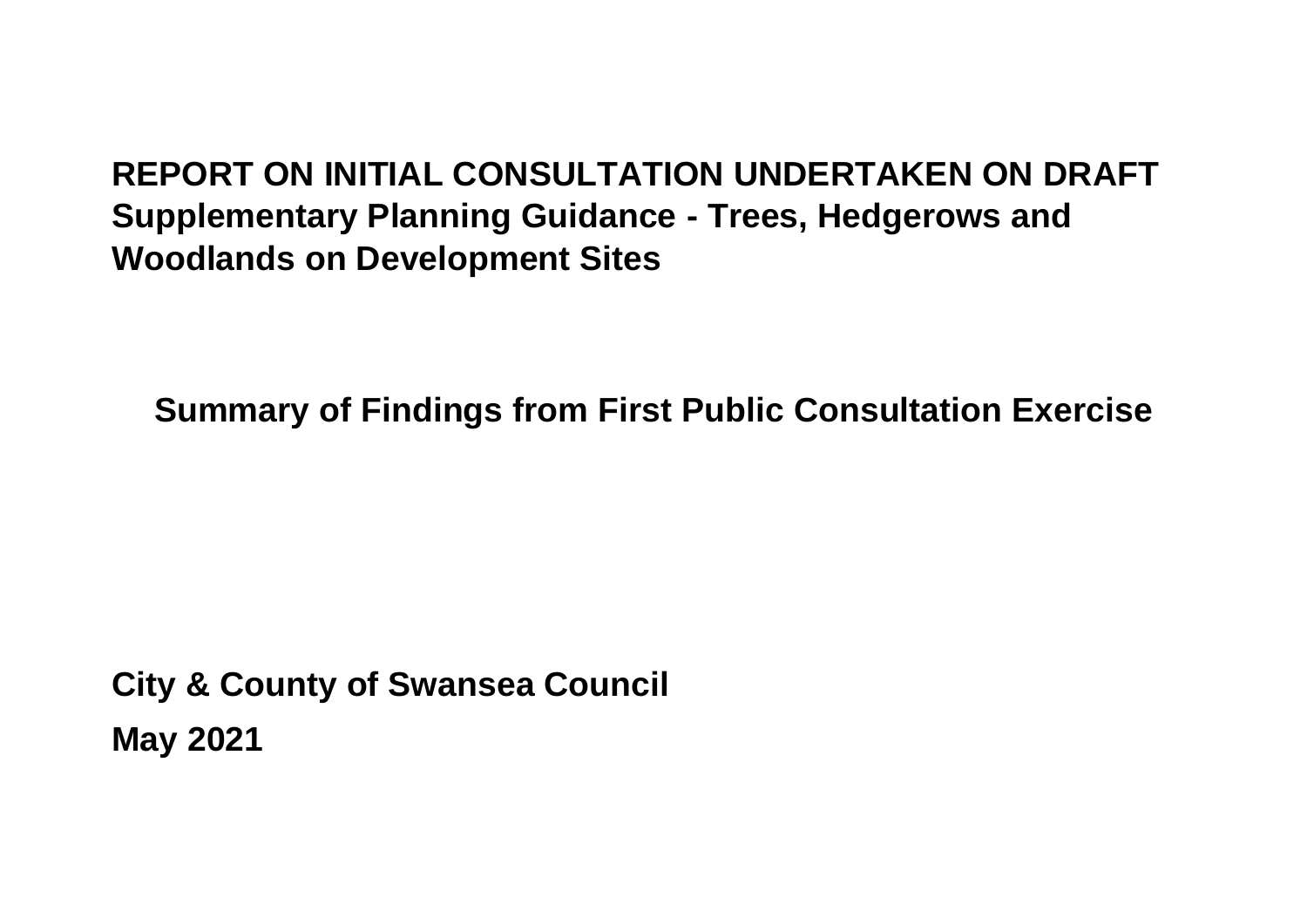# **REPORT ON INITIAL CONSULTATION UNDERTAKEN ON DRAFT Supplementary Planning Guidance - Trees, Hedgerows and Woodlands on Development Sites**

**Summary of Findings from First Public Consultation Exercise**

**City & County of Swansea Council May 2021**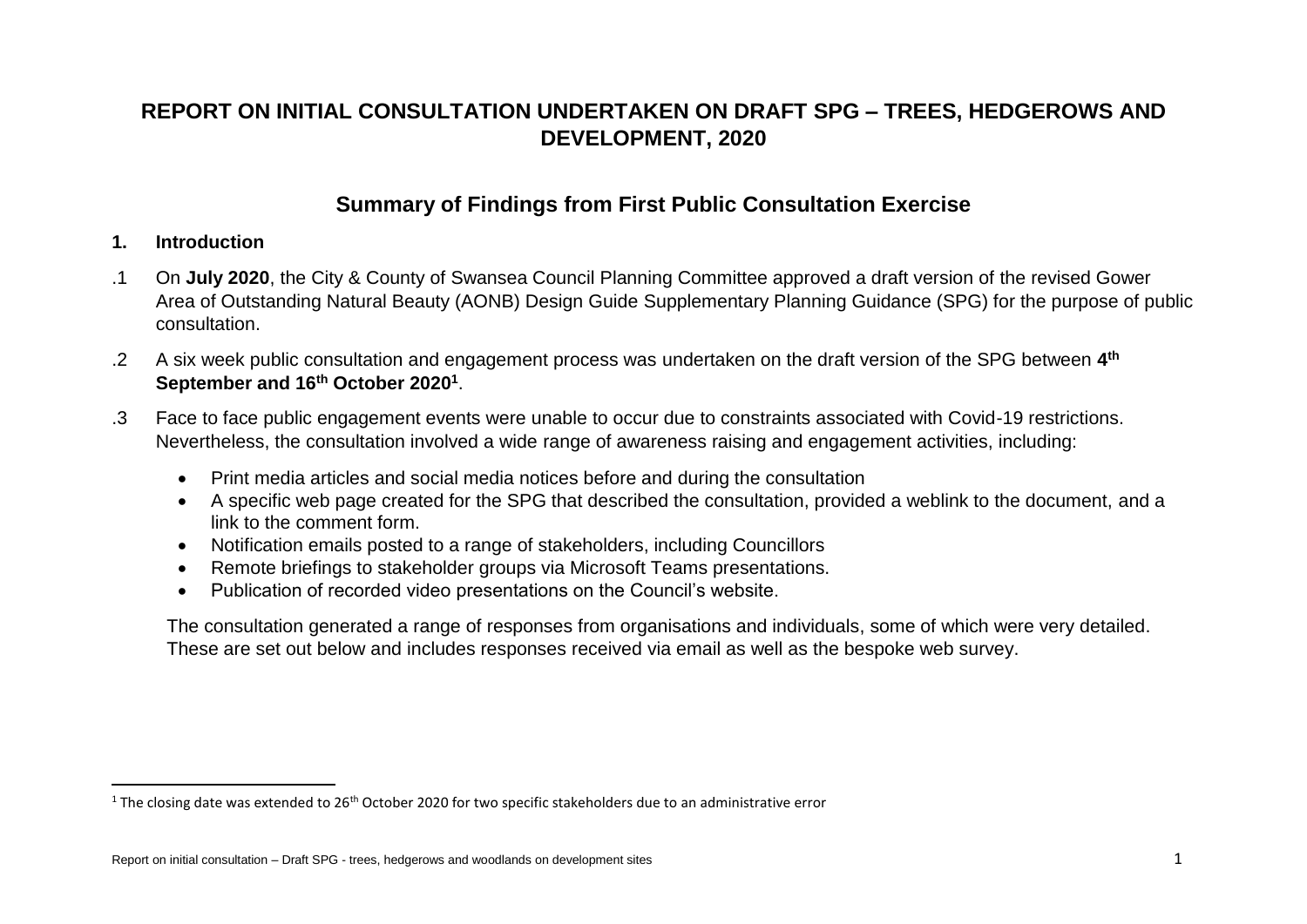# **REPORT ON INITIAL CONSULTATION UNDERTAKEN ON DRAFT SPG – TREES, HEDGEROWS AND DEVELOPMENT, 2020**

# **Summary of Findings from First Public Consultation Exercise**

#### **1. Introduction**

 $\overline{a}$ 

- .1 On **July 2020**, the City & County of Swansea Council Planning Committee approved a draft version of the revised Gower Area of Outstanding Natural Beauty (AONB) Design Guide Supplementary Planning Guidance (SPG) for the purpose of public consultation.
- .2 A six week public consultation and engagement process was undertaken on the draft version of the SPG between **4 th September and 16th October 2020<sup>1</sup>** .
- .3 Face to face public engagement events were unable to occur due to constraints associated with Covid-19 restrictions. Nevertheless, the consultation involved a wide range of awareness raising and engagement activities, including:
	- Print media articles and social media notices before and during the consultation
	- A specific web page created for the SPG that described the consultation, provided a weblink to the document, and a link to the comment form.
	- Notification emails posted to a range of stakeholders, including Councillors
	- Remote briefings to stakeholder groups via Microsoft Teams presentations.
	- Publication of recorded video presentations on the Council's website.

The consultation generated a range of responses from organisations and individuals, some of which were very detailed. These are set out below and includes responses received via email as well as the bespoke web survey.

 $1$  The closing date was extended to 26<sup>th</sup> October 2020 for two specific stakeholders due to an administrative error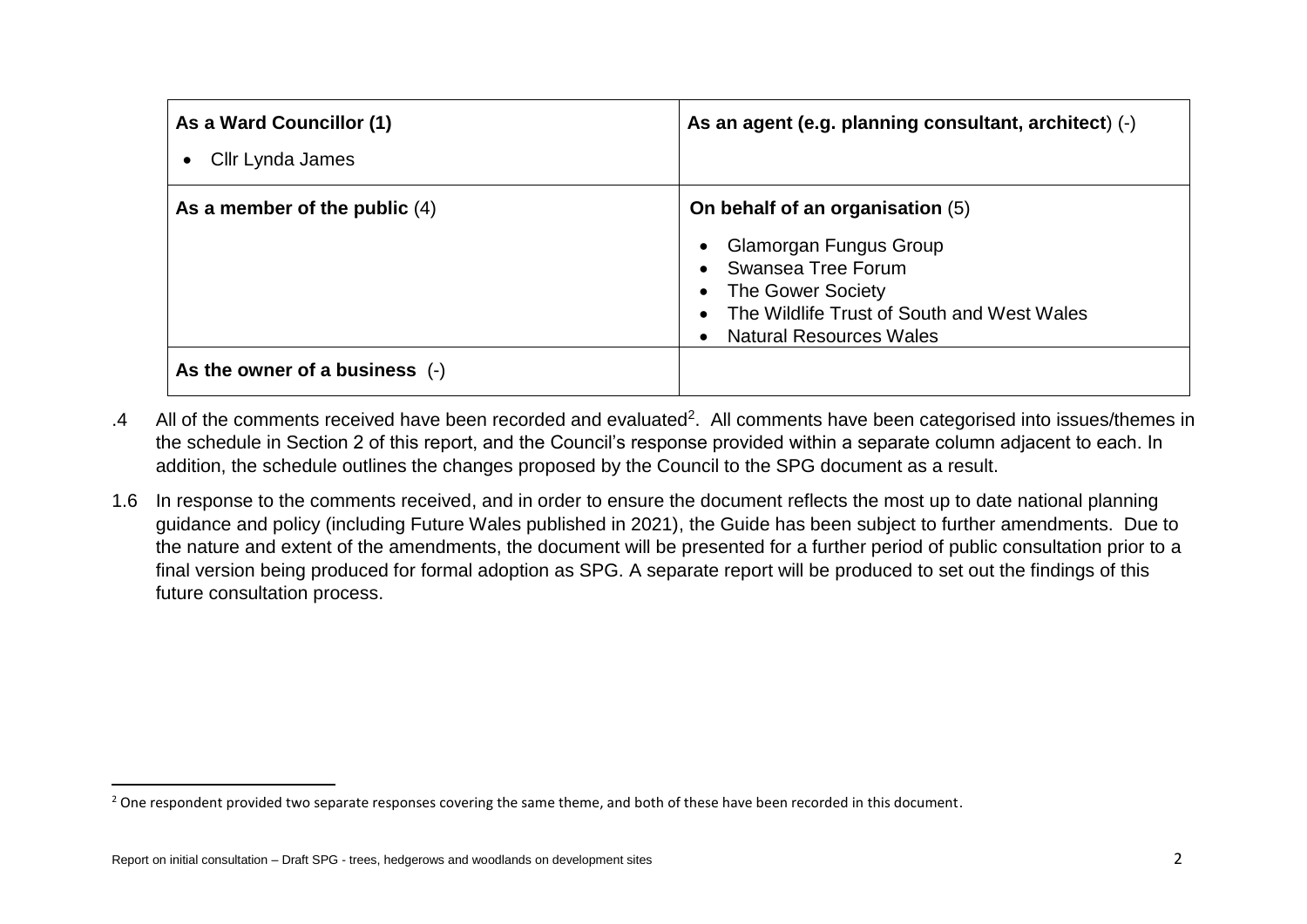| As a Ward Councillor (1)<br>Cllr Lynda James                        | As an agent (e.g. planning consultant, architect) (-)                                                                                                                                 |
|---------------------------------------------------------------------|---------------------------------------------------------------------------------------------------------------------------------------------------------------------------------------|
| As a member of the public $(4)$<br>As the owner of a business $(-)$ | On behalf of an organisation (5)<br>Glamorgan Fungus Group<br>Swansea Tree Forum<br>The Gower Society<br>The Wildlife Trust of South and West Wales<br><b>Natural Resources Wales</b> |

- .4 All of the comments received have been recorded and evaluated<sup>2</sup>. All comments have been categorised into issues/themes in the schedule in Section 2 of this report, and the Council's response provided within a separate column adjacent to each. In addition, the schedule outlines the changes proposed by the Council to the SPG document as a result.
- 1.6 In response to the comments received, and in order to ensure the document reflects the most up to date national planning guidance and policy (including Future Wales published in 2021), the Guide has been subject to further amendments. Due to the nature and extent of the amendments, the document will be presented for a further period of public consultation prior to a final version being produced for formal adoption as SPG. A separate report will be produced to set out the findings of this future consultation process.

<sup>&</sup>lt;sup>2</sup> One respondent provided two separate responses covering the same theme, and both of these have been recorded in this document.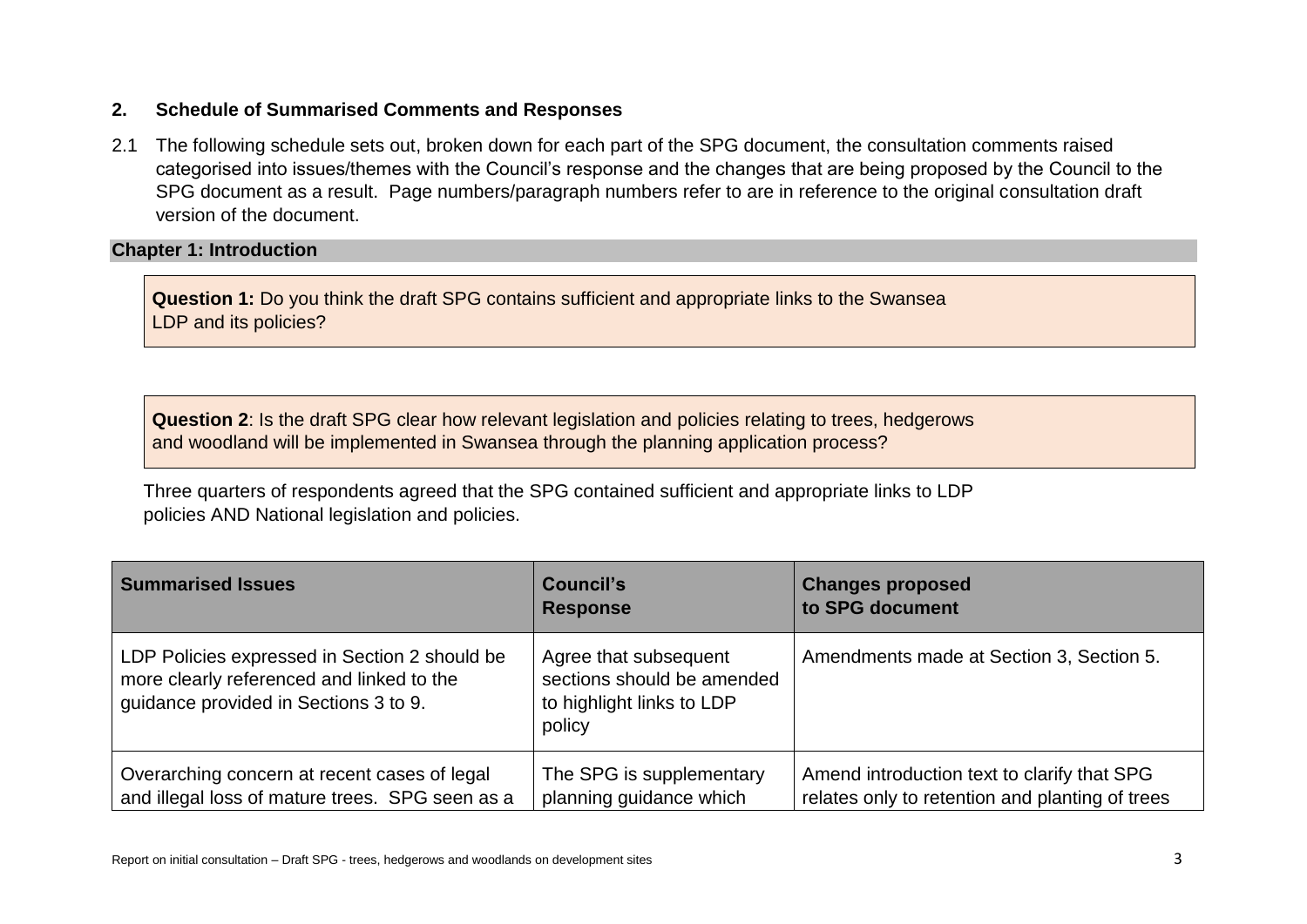### **2. Schedule of Summarised Comments and Responses**

2.1 The following schedule sets out, broken down for each part of the SPG document, the consultation comments raised categorised into issues/themes with the Council's response and the changes that are being proposed by the Council to the SPG document as a result. Page numbers/paragraph numbers refer to are in reference to the original consultation draft version of the document.

#### **Chapter 1: Introduction**

**Question 1:** Do you think the draft SPG contains sufficient and appropriate links to the Swansea LDP and its policies?

**Question 2**: Is the draft SPG clear how relevant legislation and policies relating to trees, hedgerows and woodland will be implemented in Swansea through the planning application process?

Three quarters of respondents agreed that the SPG contained sufficient and appropriate links to LDP policies AND National legislation and policies.

| <b>Summarised Issues</b>                                                                                                            | <b>Council's</b><br><b>Response</b>                                                        | <b>Changes proposed</b><br>to SPG document                                                     |
|-------------------------------------------------------------------------------------------------------------------------------------|--------------------------------------------------------------------------------------------|------------------------------------------------------------------------------------------------|
| LDP Policies expressed in Section 2 should be<br>more clearly referenced and linked to the<br>guidance provided in Sections 3 to 9. | Agree that subsequent<br>sections should be amended<br>to highlight links to LDP<br>policy | Amendments made at Section 3, Section 5.                                                       |
| Overarching concern at recent cases of legal<br>and illegal loss of mature trees. SPG seen as a                                     | The SPG is supplementary<br>planning guidance which                                        | Amend introduction text to clarify that SPG<br>relates only to retention and planting of trees |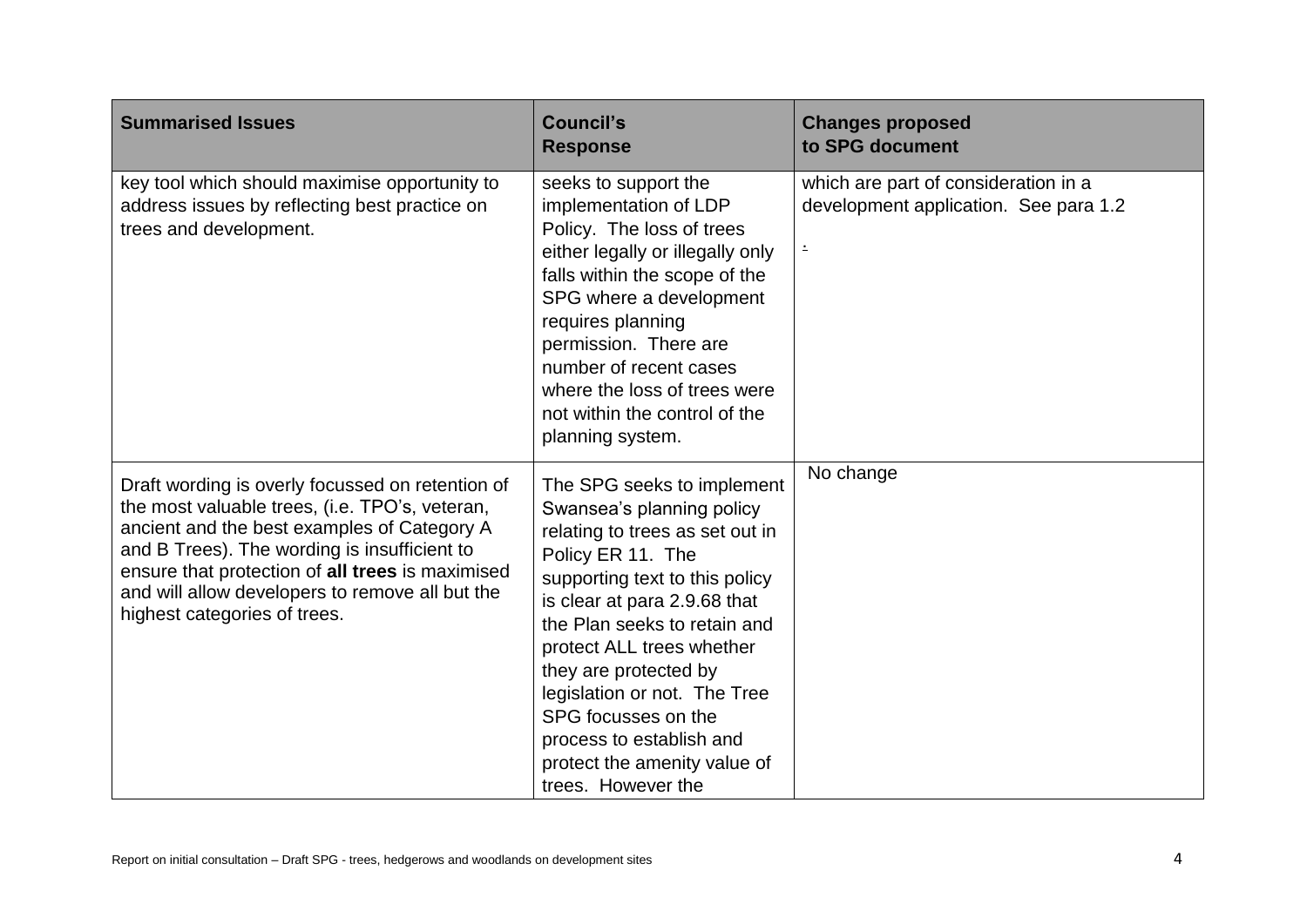| <b>Summarised Issues</b>                                                                                                                                                                                                                                                                                                                 | <b>Council's</b><br><b>Response</b>                                                                                                                                                                                                                                                                                                                                                                              | <b>Changes proposed</b><br>to SPG document                                         |
|------------------------------------------------------------------------------------------------------------------------------------------------------------------------------------------------------------------------------------------------------------------------------------------------------------------------------------------|------------------------------------------------------------------------------------------------------------------------------------------------------------------------------------------------------------------------------------------------------------------------------------------------------------------------------------------------------------------------------------------------------------------|------------------------------------------------------------------------------------|
| key tool which should maximise opportunity to<br>address issues by reflecting best practice on<br>trees and development.                                                                                                                                                                                                                 | seeks to support the<br>implementation of LDP<br>Policy. The loss of trees<br>either legally or illegally only<br>falls within the scope of the<br>SPG where a development<br>requires planning<br>permission. There are<br>number of recent cases<br>where the loss of trees were<br>not within the control of the<br>planning system.                                                                          | which are part of consideration in a<br>development application. See para 1.2<br>÷ |
| Draft wording is overly focussed on retention of<br>the most valuable trees, (i.e. TPO's, veteran,<br>ancient and the best examples of Category A<br>and B Trees). The wording is insufficient to<br>ensure that protection of all trees is maximised<br>and will allow developers to remove all but the<br>highest categories of trees. | The SPG seeks to implement<br>Swansea's planning policy<br>relating to trees as set out in<br>Policy ER 11. The<br>supporting text to this policy<br>is clear at para 2.9.68 that<br>the Plan seeks to retain and<br>protect ALL trees whether<br>they are protected by<br>legislation or not. The Tree<br>SPG focusses on the<br>process to establish and<br>protect the amenity value of<br>trees. However the | No change                                                                          |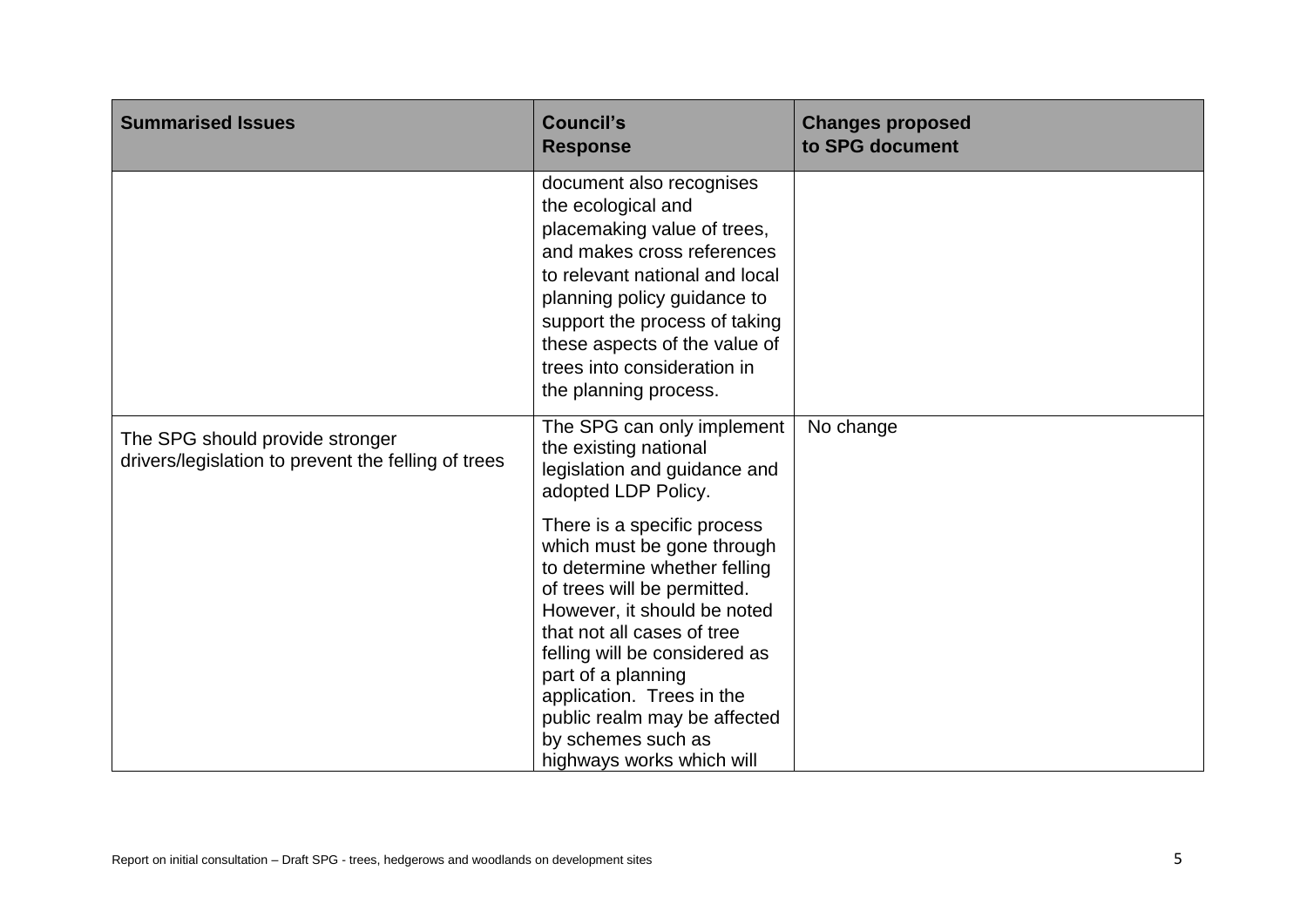| <b>Summarised Issues</b>                                                               | <b>Council's</b><br><b>Response</b>                                                                                                                                                                                                                                                                                                                          | <b>Changes proposed</b><br>to SPG document |
|----------------------------------------------------------------------------------------|--------------------------------------------------------------------------------------------------------------------------------------------------------------------------------------------------------------------------------------------------------------------------------------------------------------------------------------------------------------|--------------------------------------------|
|                                                                                        | document also recognises<br>the ecological and<br>placemaking value of trees,<br>and makes cross references<br>to relevant national and local<br>planning policy guidance to<br>support the process of taking<br>these aspects of the value of<br>trees into consideration in<br>the planning process.                                                       |                                            |
| The SPG should provide stronger<br>drivers/legislation to prevent the felling of trees | The SPG can only implement<br>the existing national<br>legislation and guidance and<br>adopted LDP Policy.                                                                                                                                                                                                                                                   | No change                                  |
|                                                                                        | There is a specific process<br>which must be gone through<br>to determine whether felling<br>of trees will be permitted.<br>However, it should be noted<br>that not all cases of tree<br>felling will be considered as<br>part of a planning<br>application. Trees in the<br>public realm may be affected<br>by schemes such as<br>highways works which will |                                            |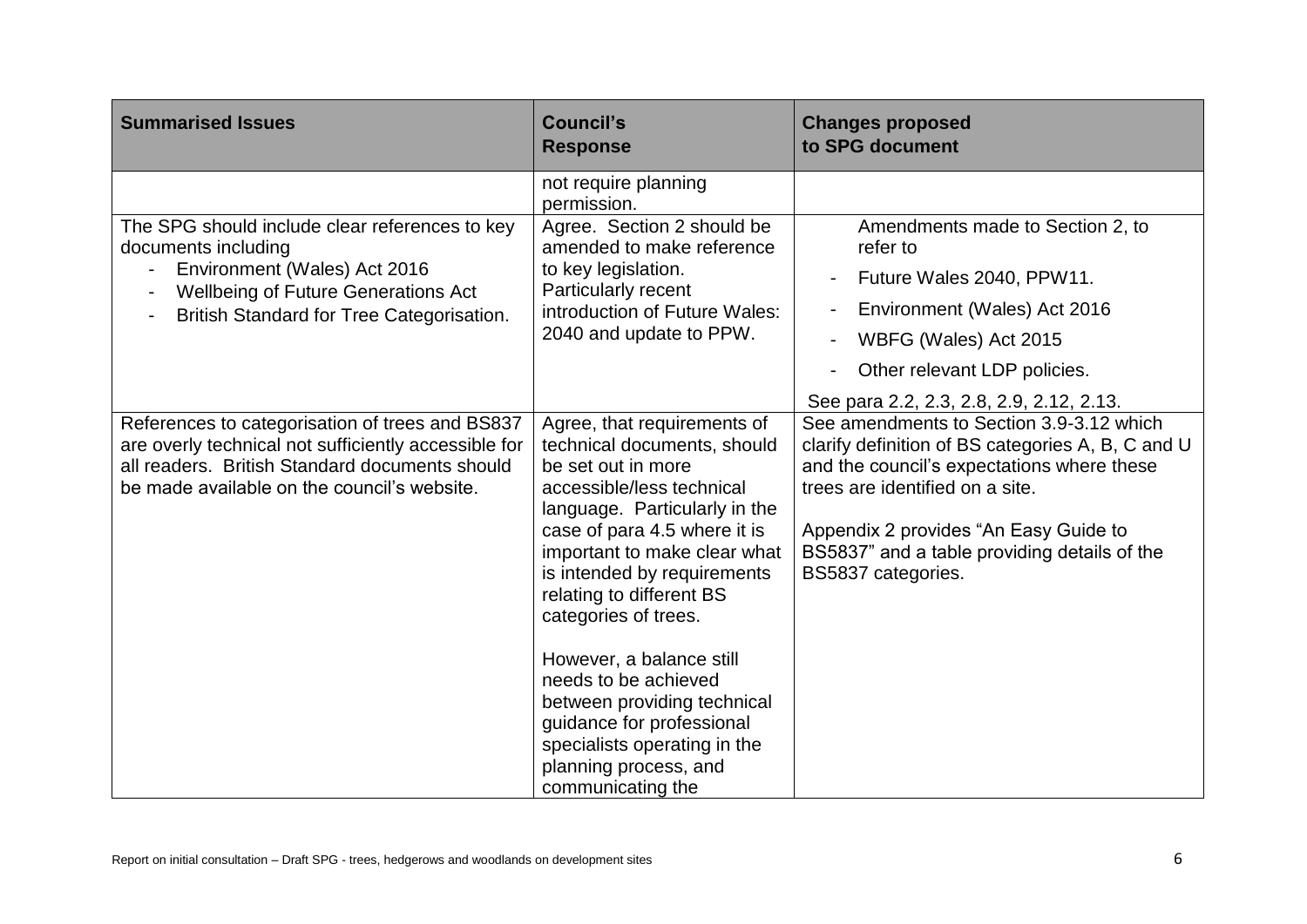| <b>Summarised Issues</b>                                                                                                                                                                                 | <b>Council's</b><br><b>Response</b>                                                                                                                                                                                                                                                                                                                                                                                                                                                             | <b>Changes proposed</b><br>to SPG document                                                                                                                                                                                                                                                    |
|----------------------------------------------------------------------------------------------------------------------------------------------------------------------------------------------------------|-------------------------------------------------------------------------------------------------------------------------------------------------------------------------------------------------------------------------------------------------------------------------------------------------------------------------------------------------------------------------------------------------------------------------------------------------------------------------------------------------|-----------------------------------------------------------------------------------------------------------------------------------------------------------------------------------------------------------------------------------------------------------------------------------------------|
| The SPG should include clear references to key<br>documents including<br>Environment (Wales) Act 2016<br><b>Wellbeing of Future Generations Act</b><br>British Standard for Tree Categorisation.         | not require planning<br>permission.<br>Agree. Section 2 should be<br>amended to make reference<br>to key legislation.<br><b>Particularly recent</b><br>introduction of Future Wales:<br>2040 and update to PPW.                                                                                                                                                                                                                                                                                 | Amendments made to Section 2, to<br>refer to<br>Future Wales 2040, PPW11.<br>Environment (Wales) Act 2016<br>WBFG (Wales) Act 2015<br>Other relevant LDP policies.<br>See para 2.2, 2.3, 2.8, 2.9, 2.12, 2.13.                                                                                |
| References to categorisation of trees and BS837<br>are overly technical not sufficiently accessible for<br>all readers. British Standard documents should<br>be made available on the council's website. | Agree, that requirements of<br>technical documents, should<br>be set out in more<br>accessible/less technical<br>language. Particularly in the<br>case of para 4.5 where it is<br>important to make clear what<br>is intended by requirements<br>relating to different BS<br>categories of trees.<br>However, a balance still<br>needs to be achieved<br>between providing technical<br>guidance for professional<br>specialists operating in the<br>planning process, and<br>communicating the | See amendments to Section 3.9-3.12 which<br>clarify definition of BS categories A, B, C and U<br>and the council's expectations where these<br>trees are identified on a site.<br>Appendix 2 provides "An Easy Guide to<br>BS5837" and a table providing details of the<br>BS5837 categories. |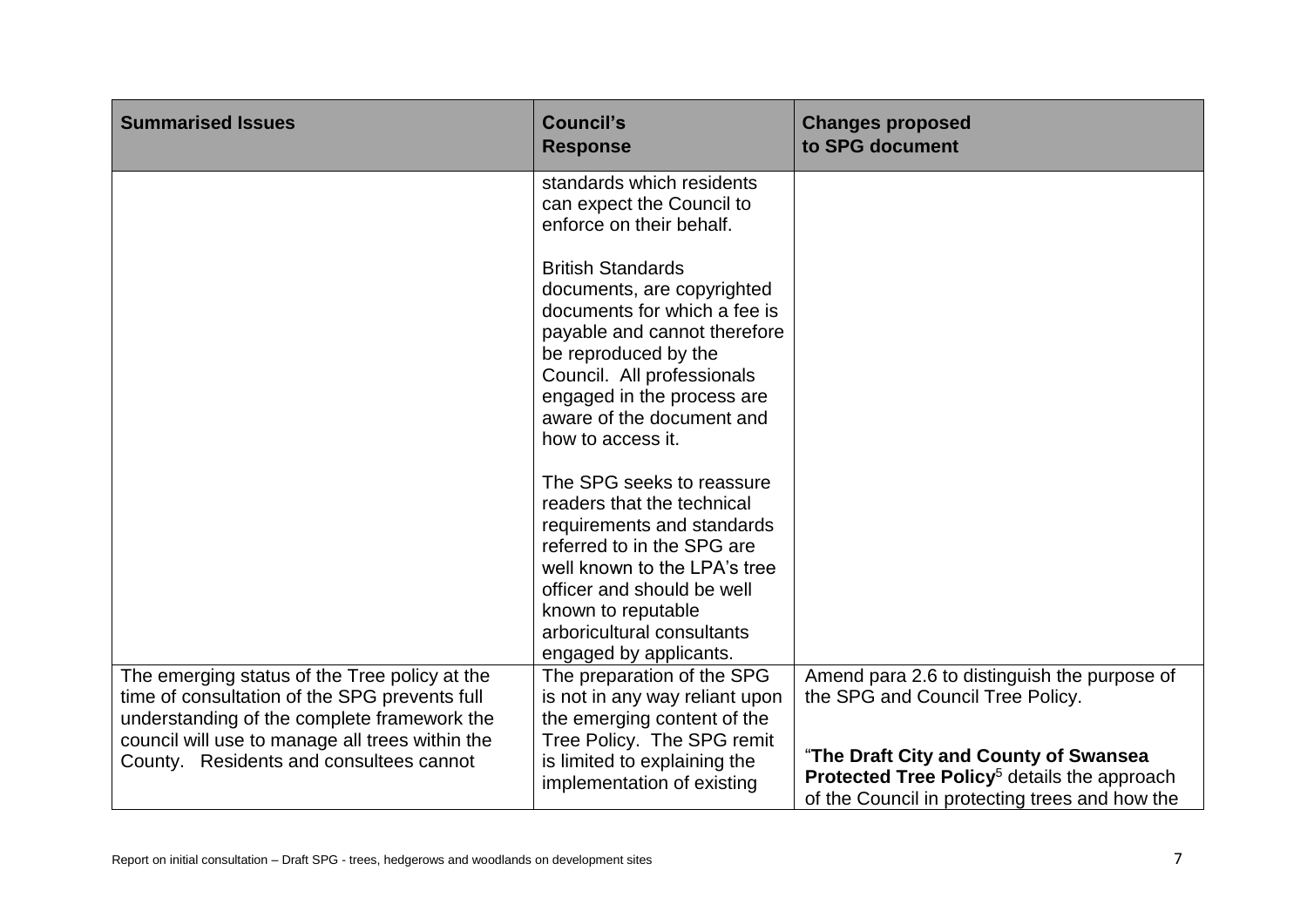| <b>Council's</b><br><b>Response</b>                                                                                                                                                                                                                                | <b>Changes proposed</b><br>to SPG document                                                                                                                                                                                             |
|--------------------------------------------------------------------------------------------------------------------------------------------------------------------------------------------------------------------------------------------------------------------|----------------------------------------------------------------------------------------------------------------------------------------------------------------------------------------------------------------------------------------|
| standards which residents<br>can expect the Council to<br>enforce on their behalf.<br><b>British Standards</b><br>documents, are copyrighted<br>documents for which a fee is<br>payable and cannot therefore<br>be reproduced by the<br>Council. All professionals |                                                                                                                                                                                                                                        |
| aware of the document and<br>how to access it.<br>The SPG seeks to reassure<br>readers that the technical<br>requirements and standards<br>referred to in the SPG are                                                                                              |                                                                                                                                                                                                                                        |
| well known to the LPA's tree<br>officer and should be well<br>known to reputable<br>arboricultural consultants<br>engaged by applicants.                                                                                                                           |                                                                                                                                                                                                                                        |
| The preparation of the SPG<br>is not in any way reliant upon<br>the emerging content of the<br>Tree Policy. The SPG remit<br>is limited to explaining the<br>implementation of existing                                                                            | Amend para 2.6 to distinguish the purpose of<br>the SPG and Council Tree Policy.<br>"The Draft City and County of Swansea<br>Protected Tree Policy <sup>5</sup> details the approach<br>of the Council in protecting trees and how the |
|                                                                                                                                                                                                                                                                    | engaged in the process are                                                                                                                                                                                                             |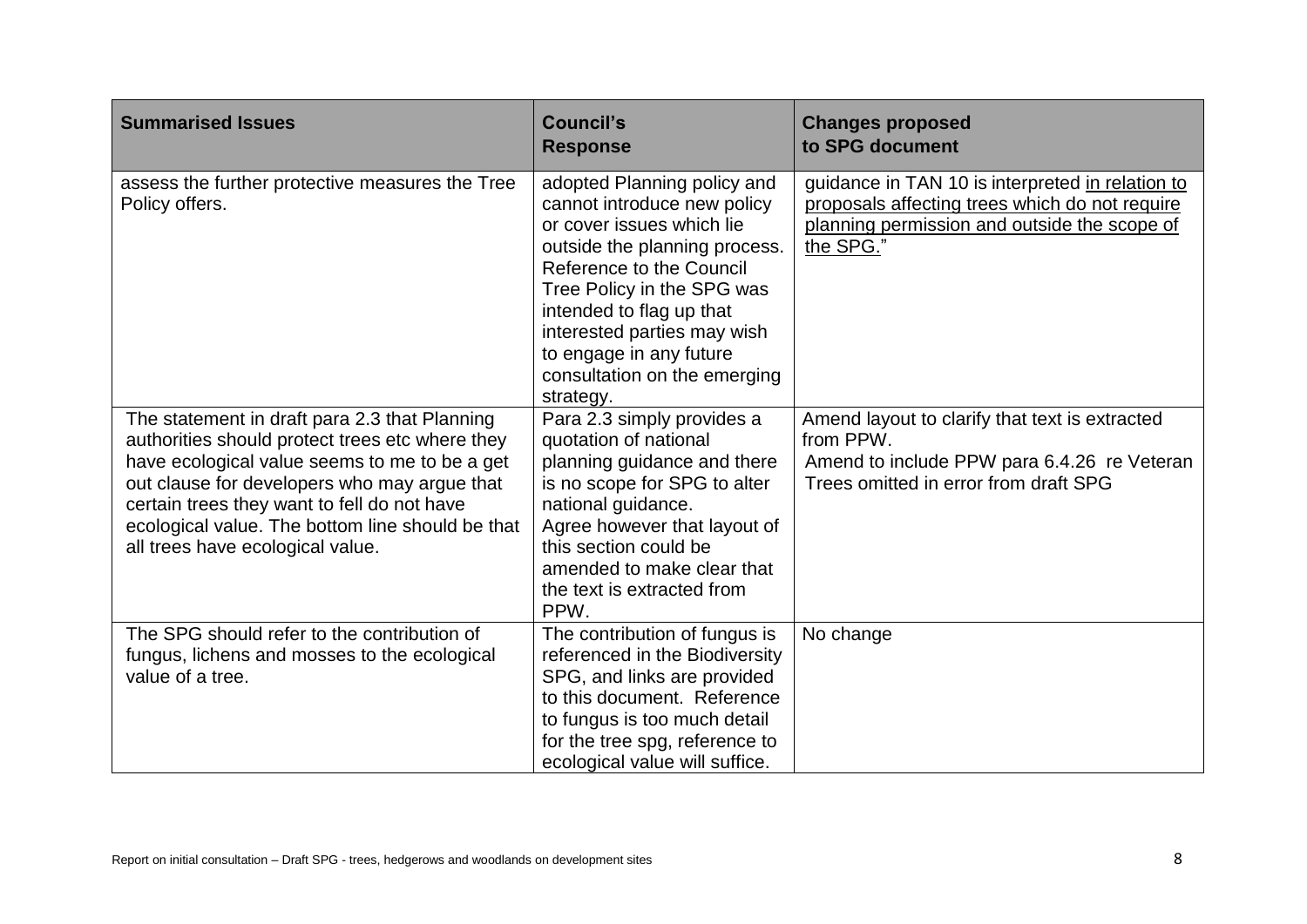| <b>Summarised Issues</b>                                                                                                                                                                                                                                                                                                                 | <b>Council's</b><br><b>Response</b>                                                                                                                                                                                                                                                                                   | <b>Changes proposed</b><br>to SPG document                                                                                                                      |
|------------------------------------------------------------------------------------------------------------------------------------------------------------------------------------------------------------------------------------------------------------------------------------------------------------------------------------------|-----------------------------------------------------------------------------------------------------------------------------------------------------------------------------------------------------------------------------------------------------------------------------------------------------------------------|-----------------------------------------------------------------------------------------------------------------------------------------------------------------|
| assess the further protective measures the Tree<br>Policy offers.                                                                                                                                                                                                                                                                        | adopted Planning policy and<br>cannot introduce new policy<br>or cover issues which lie<br>outside the planning process.<br>Reference to the Council<br>Tree Policy in the SPG was<br>intended to flag up that<br>interested parties may wish<br>to engage in any future<br>consultation on the emerging<br>strategy. | guidance in TAN 10 is interpreted in relation to<br>proposals affecting trees which do not require<br>planning permission and outside the scope of<br>the SPG." |
| The statement in draft para 2.3 that Planning<br>authorities should protect trees etc where they<br>have ecological value seems to me to be a get<br>out clause for developers who may argue that<br>certain trees they want to fell do not have<br>ecological value. The bottom line should be that<br>all trees have ecological value. | Para 2.3 simply provides a<br>quotation of national<br>planning guidance and there<br>is no scope for SPG to alter<br>national guidance.<br>Agree however that layout of<br>this section could be<br>amended to make clear that<br>the text is extracted from<br>PPW.                                                 | Amend layout to clarify that text is extracted<br>from PPW.<br>Amend to include PPW para 6.4.26 re Veteran<br>Trees omitted in error from draft SPG             |
| The SPG should refer to the contribution of<br>fungus, lichens and mosses to the ecological<br>value of a tree.                                                                                                                                                                                                                          | The contribution of fungus is<br>referenced in the Biodiversity<br>SPG, and links are provided<br>to this document. Reference<br>to fungus is too much detail<br>for the tree spg, reference to<br>ecological value will suffice.                                                                                     | No change                                                                                                                                                       |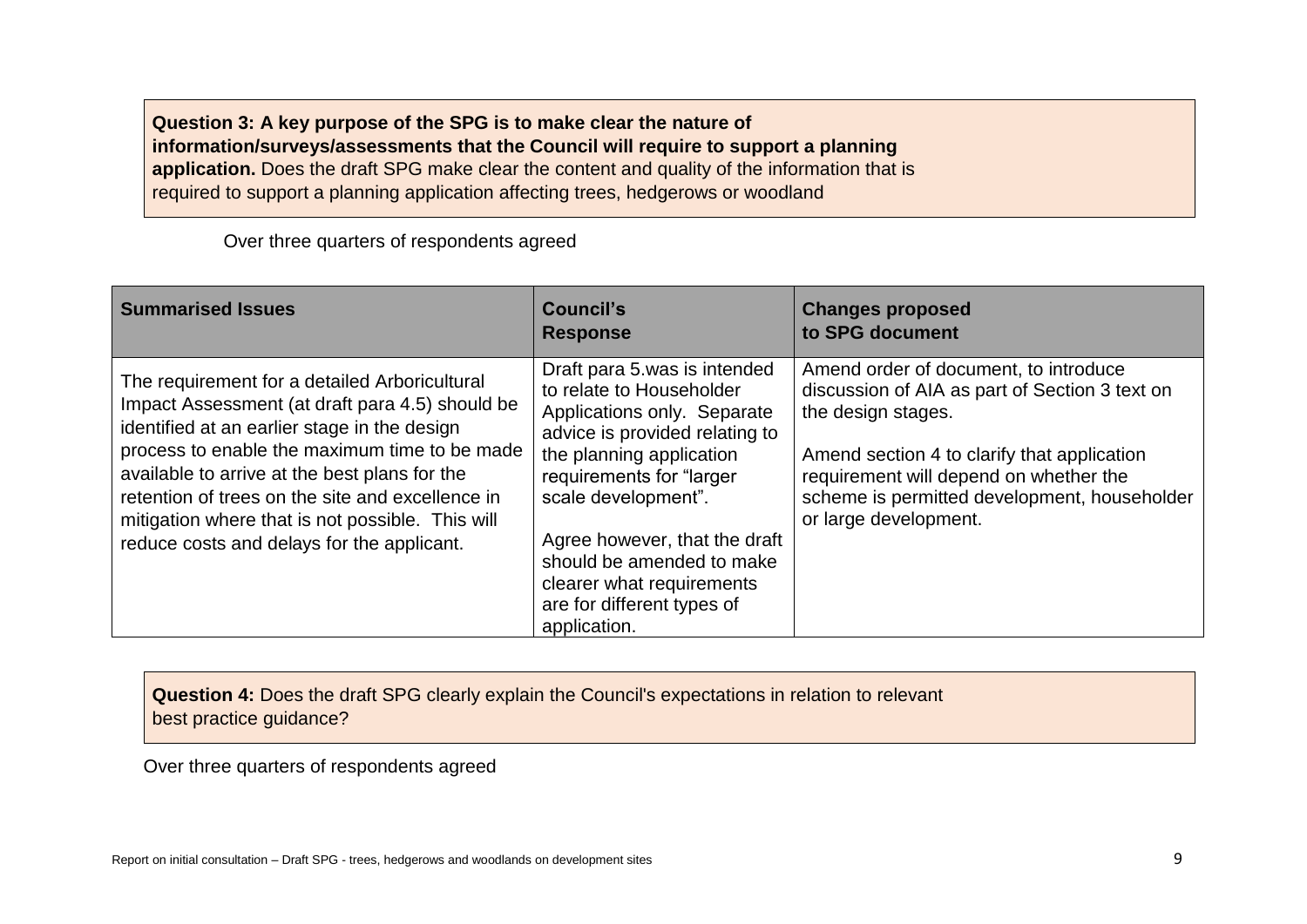**Question 3: A key purpose of the SPG is to make clear the nature of information/surveys/assessments that the Council will require to support a planning application.** Does the draft SPG make clear the content and quality of the information that is required to support a planning application affecting trees, hedgerows or woodland

Over three quarters of respondents agreed

| <b>Summarised Issues</b>                                                                                                                                                                                                                                                                                                                                                                                 | <b>Council's</b><br><b>Response</b>                                                                                                                                                                                                                                                                                                               | <b>Changes proposed</b><br>to SPG document                                                                                                                                                                                                                                      |
|----------------------------------------------------------------------------------------------------------------------------------------------------------------------------------------------------------------------------------------------------------------------------------------------------------------------------------------------------------------------------------------------------------|---------------------------------------------------------------------------------------------------------------------------------------------------------------------------------------------------------------------------------------------------------------------------------------------------------------------------------------------------|---------------------------------------------------------------------------------------------------------------------------------------------------------------------------------------------------------------------------------------------------------------------------------|
| The requirement for a detailed Arboricultural<br>Impact Assessment (at draft para 4.5) should be<br>identified at an earlier stage in the design<br>process to enable the maximum time to be made<br>available to arrive at the best plans for the<br>retention of trees on the site and excellence in<br>mitigation where that is not possible. This will<br>reduce costs and delays for the applicant. | Draft para 5 was is intended<br>to relate to Householder<br>Applications only. Separate<br>advice is provided relating to<br>the planning application<br>requirements for "larger<br>scale development".<br>Agree however, that the draft<br>should be amended to make<br>clearer what requirements<br>are for different types of<br>application. | Amend order of document, to introduce<br>discussion of AIA as part of Section 3 text on<br>the design stages.<br>Amend section 4 to clarify that application<br>requirement will depend on whether the<br>scheme is permitted development, householder<br>or large development. |

**Question 4:** Does the draft SPG clearly explain the Council's expectations in relation to relevant best practice guidance?

Over three quarters of respondents agreed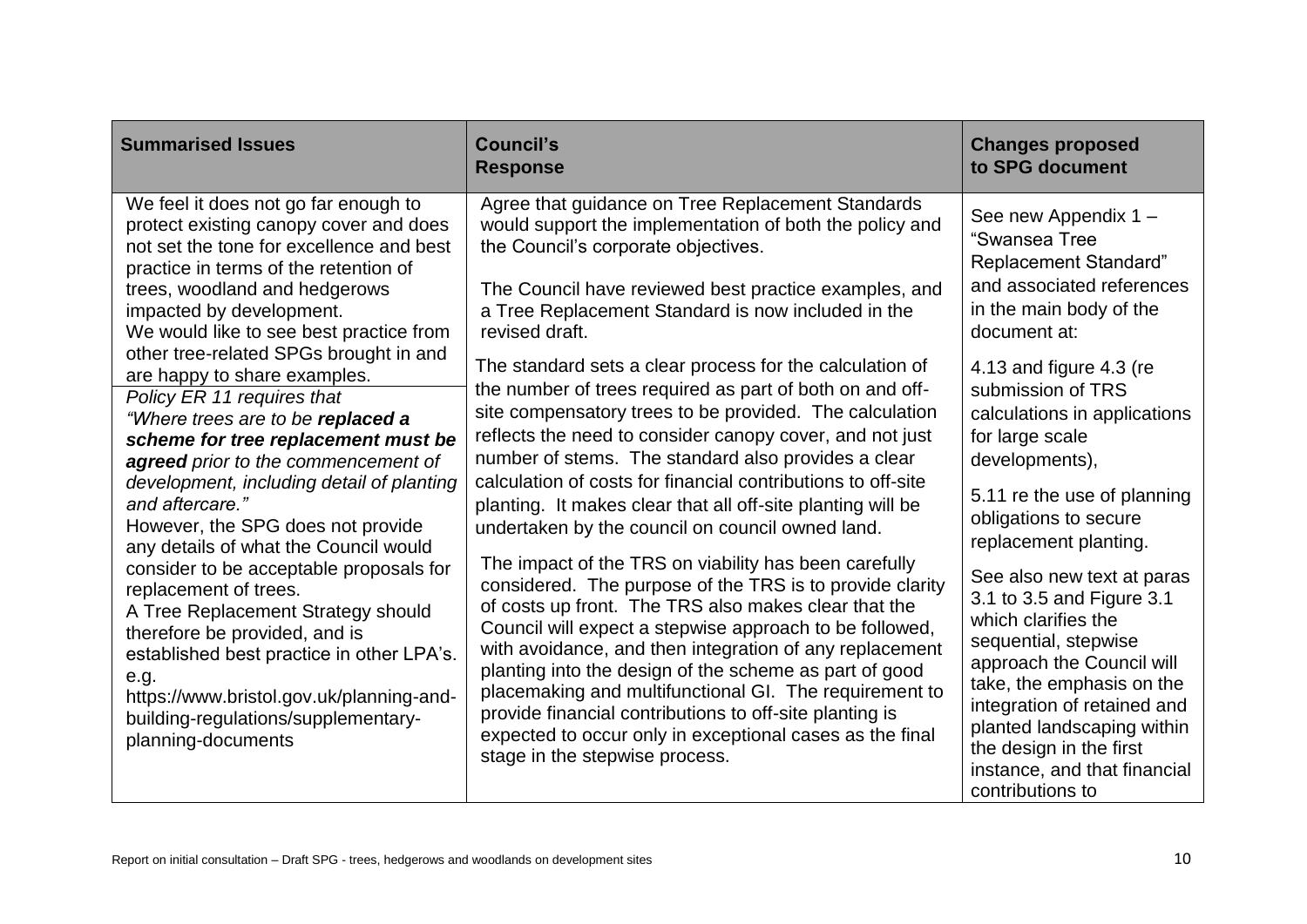| <b>Summarised Issues</b>                                                                                                                                                                                                                                                                                                                                                                                                                                                                                                                                                                                                                                                                                                                                                                                                                                                                                                                                      | <b>Council's</b><br><b>Response</b>                                                                                                                                                                                                                                                                                                                                                                                                                                                                                                                                                                                                                                                                                                                                                                                                                                                                                                                                                                                                                                                                                                                                                                                                                                                                                                                           | <b>Changes proposed</b><br>to SPG document                                                                                                                                                                                                                                                                                                                                                                                                                                                                                                                                                                                                                          |
|---------------------------------------------------------------------------------------------------------------------------------------------------------------------------------------------------------------------------------------------------------------------------------------------------------------------------------------------------------------------------------------------------------------------------------------------------------------------------------------------------------------------------------------------------------------------------------------------------------------------------------------------------------------------------------------------------------------------------------------------------------------------------------------------------------------------------------------------------------------------------------------------------------------------------------------------------------------|---------------------------------------------------------------------------------------------------------------------------------------------------------------------------------------------------------------------------------------------------------------------------------------------------------------------------------------------------------------------------------------------------------------------------------------------------------------------------------------------------------------------------------------------------------------------------------------------------------------------------------------------------------------------------------------------------------------------------------------------------------------------------------------------------------------------------------------------------------------------------------------------------------------------------------------------------------------------------------------------------------------------------------------------------------------------------------------------------------------------------------------------------------------------------------------------------------------------------------------------------------------------------------------------------------------------------------------------------------------|---------------------------------------------------------------------------------------------------------------------------------------------------------------------------------------------------------------------------------------------------------------------------------------------------------------------------------------------------------------------------------------------------------------------------------------------------------------------------------------------------------------------------------------------------------------------------------------------------------------------------------------------------------------------|
| We feel it does not go far enough to<br>protect existing canopy cover and does<br>not set the tone for excellence and best<br>practice in terms of the retention of<br>trees, woodland and hedgerows<br>impacted by development.<br>We would like to see best practice from<br>other tree-related SPGs brought in and<br>are happy to share examples.<br>Policy ER 11 requires that<br>"Where trees are to be replaced a<br>scheme for tree replacement must be<br>agreed prior to the commencement of<br>development, including detail of planting<br>and aftercare."<br>However, the SPG does not provide<br>any details of what the Council would<br>consider to be acceptable proposals for<br>replacement of trees.<br>A Tree Replacement Strategy should<br>therefore be provided, and is<br>established best practice in other LPA's.<br>e.g.<br>https://www.bristol.gov.uk/planning-and-<br>building-regulations/supplementary-<br>planning-documents | Agree that guidance on Tree Replacement Standards<br>would support the implementation of both the policy and<br>the Council's corporate objectives.<br>The Council have reviewed best practice examples, and<br>a Tree Replacement Standard is now included in the<br>revised draft.<br>The standard sets a clear process for the calculation of<br>the number of trees required as part of both on and off-<br>site compensatory trees to be provided. The calculation<br>reflects the need to consider canopy cover, and not just<br>number of stems. The standard also provides a clear<br>calculation of costs for financial contributions to off-site<br>planting. It makes clear that all off-site planting will be<br>undertaken by the council on council owned land.<br>The impact of the TRS on viability has been carefully<br>considered. The purpose of the TRS is to provide clarity<br>of costs up front. The TRS also makes clear that the<br>Council will expect a stepwise approach to be followed,<br>with avoidance, and then integration of any replacement<br>planting into the design of the scheme as part of good<br>placemaking and multifunctional GI. The requirement to<br>provide financial contributions to off-site planting is<br>expected to occur only in exceptional cases as the final<br>stage in the stepwise process. | See new Appendix 1 -<br>"Swansea Tree<br><b>Replacement Standard"</b><br>and associated references<br>in the main body of the<br>document at:<br>4.13 and figure 4.3 (re<br>submission of TRS<br>calculations in applications<br>for large scale<br>developments),<br>5.11 re the use of planning<br>obligations to secure<br>replacement planting.<br>See also new text at paras<br>3.1 to 3.5 and Figure 3.1<br>which clarifies the<br>sequential, stepwise<br>approach the Council will<br>take, the emphasis on the<br>integration of retained and<br>planted landscaping within<br>the design in the first<br>instance, and that financial<br>contributions to |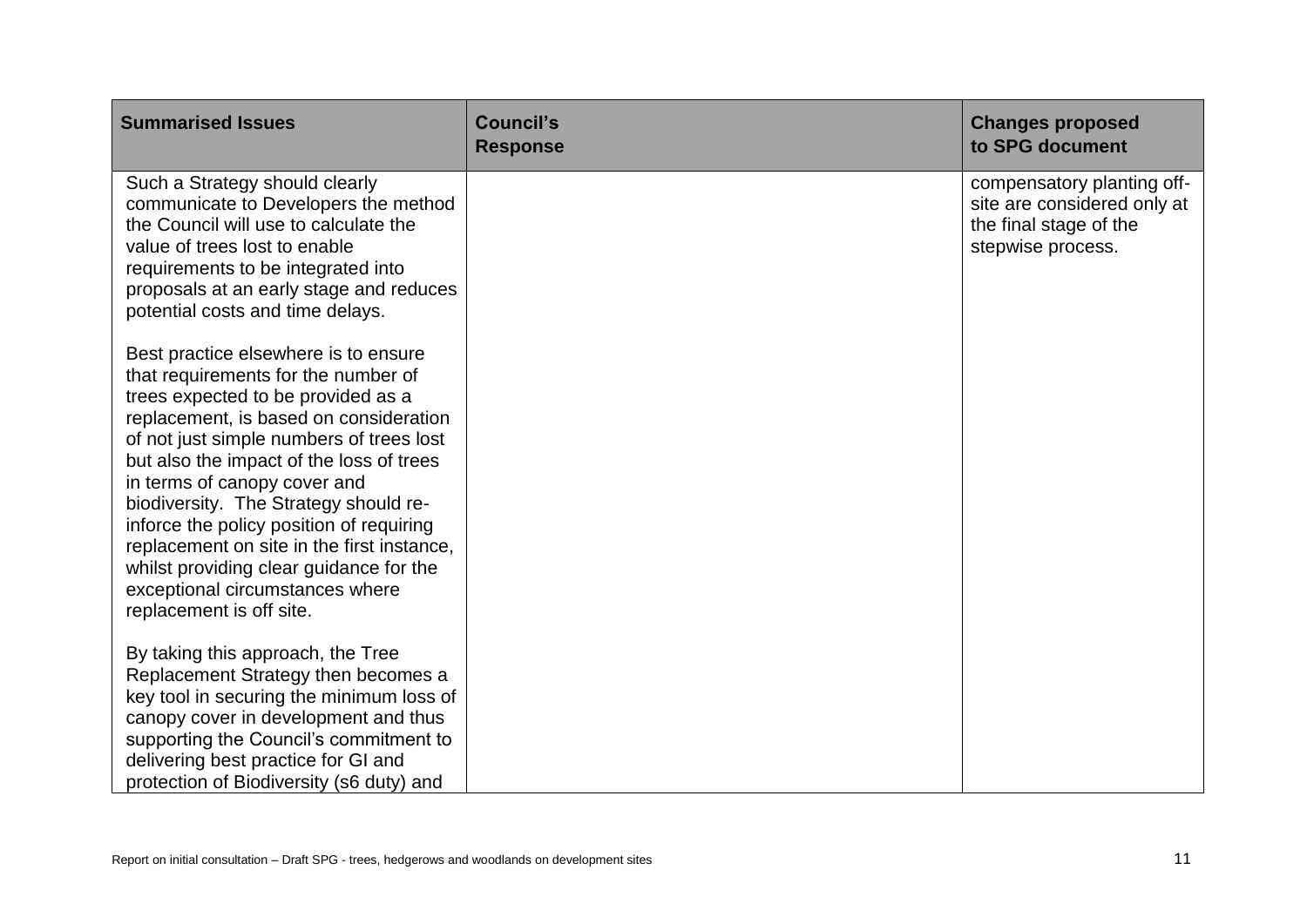| <b>Summarised Issues</b>                                                                                                                                                                                                                                                                                                                                                                                                                                                                                                         | <b>Council's</b><br><b>Response</b> | <b>Changes proposed</b><br>to SPG document                                                               |
|----------------------------------------------------------------------------------------------------------------------------------------------------------------------------------------------------------------------------------------------------------------------------------------------------------------------------------------------------------------------------------------------------------------------------------------------------------------------------------------------------------------------------------|-------------------------------------|----------------------------------------------------------------------------------------------------------|
| Such a Strategy should clearly<br>communicate to Developers the method<br>the Council will use to calculate the<br>value of trees lost to enable<br>requirements to be integrated into<br>proposals at an early stage and reduces<br>potential costs and time delays.                                                                                                                                                                                                                                                            |                                     | compensatory planting off-<br>site are considered only at<br>the final stage of the<br>stepwise process. |
| Best practice elsewhere is to ensure<br>that requirements for the number of<br>trees expected to be provided as a<br>replacement, is based on consideration<br>of not just simple numbers of trees lost<br>but also the impact of the loss of trees<br>in terms of canopy cover and<br>biodiversity. The Strategy should re-<br>inforce the policy position of requiring<br>replacement on site in the first instance,<br>whilst providing clear guidance for the<br>exceptional circumstances where<br>replacement is off site. |                                     |                                                                                                          |
| By taking this approach, the Tree<br>Replacement Strategy then becomes a<br>key tool in securing the minimum loss of<br>canopy cover in development and thus<br>supporting the Council's commitment to<br>delivering best practice for GI and<br>protection of Biodiversity (s6 duty) and                                                                                                                                                                                                                                        |                                     |                                                                                                          |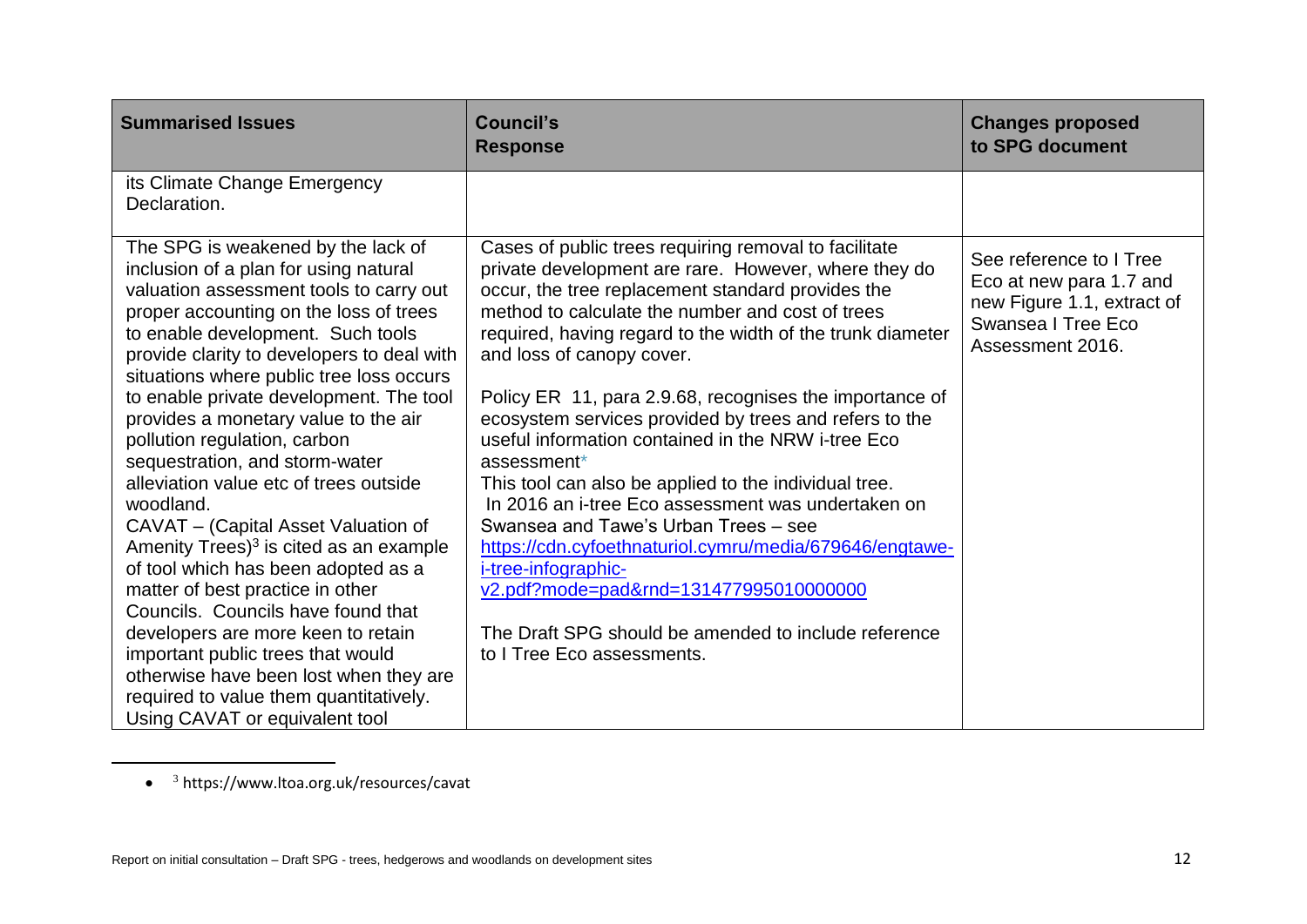| <b>Summarised Issues</b>                                                                                                                                                                                                                                                                                                                                                                                                                                                                                                                                                                                                                                                                                                                                                                                                                                                                                                   | <b>Council's</b><br><b>Response</b>                                                                                                                                                                                                                                                                                                                                                                                                                                                                                                                                                                                                                                                                                                                                                                                                                                                  | <b>Changes proposed</b><br>to SPG document                                                                                 |
|----------------------------------------------------------------------------------------------------------------------------------------------------------------------------------------------------------------------------------------------------------------------------------------------------------------------------------------------------------------------------------------------------------------------------------------------------------------------------------------------------------------------------------------------------------------------------------------------------------------------------------------------------------------------------------------------------------------------------------------------------------------------------------------------------------------------------------------------------------------------------------------------------------------------------|--------------------------------------------------------------------------------------------------------------------------------------------------------------------------------------------------------------------------------------------------------------------------------------------------------------------------------------------------------------------------------------------------------------------------------------------------------------------------------------------------------------------------------------------------------------------------------------------------------------------------------------------------------------------------------------------------------------------------------------------------------------------------------------------------------------------------------------------------------------------------------------|----------------------------------------------------------------------------------------------------------------------------|
| its Climate Change Emergency<br>Declaration.                                                                                                                                                                                                                                                                                                                                                                                                                                                                                                                                                                                                                                                                                                                                                                                                                                                                               |                                                                                                                                                                                                                                                                                                                                                                                                                                                                                                                                                                                                                                                                                                                                                                                                                                                                                      |                                                                                                                            |
| The SPG is weakened by the lack of<br>inclusion of a plan for using natural<br>valuation assessment tools to carry out<br>proper accounting on the loss of trees<br>to enable development. Such tools<br>provide clarity to developers to deal with<br>situations where public tree loss occurs<br>to enable private development. The tool<br>provides a monetary value to the air<br>pollution regulation, carbon<br>sequestration, and storm-water<br>alleviation value etc of trees outside<br>woodland.<br>CAVAT - (Capital Asset Valuation of<br>Amenity Trees) <sup>3</sup> is cited as an example<br>of tool which has been adopted as a<br>matter of best practice in other<br>Councils. Councils have found that<br>developers are more keen to retain<br>important public trees that would<br>otherwise have been lost when they are<br>required to value them quantitatively.<br>Using CAVAT or equivalent tool | Cases of public trees requiring removal to facilitate<br>private development are rare. However, where they do<br>occur, the tree replacement standard provides the<br>method to calculate the number and cost of trees<br>required, having regard to the width of the trunk diameter<br>and loss of canopy cover.<br>Policy ER 11, para 2.9.68, recognises the importance of<br>ecosystem services provided by trees and refers to the<br>useful information contained in the NRW i-tree Eco<br>assessment*<br>This tool can also be applied to the individual tree.<br>In 2016 an i-tree Eco assessment was undertaken on<br>Swansea and Tawe's Urban Trees - see<br>https://cdn.cyfoethnaturiol.cymru/media/679646/engtawe-<br>i-tree-infographic-<br>v2.pdf?mode=pad&rnd=131477995010000000<br>The Draft SPG should be amended to include reference<br>to I Tree Eco assessments. | See reference to I Tree<br>Eco at new para 1.7 and<br>new Figure 1.1, extract of<br>Swansea I Tree Eco<br>Assessment 2016. |

<sup>• &</sup>lt;sup>3</sup> <https://www.ltoa.org.uk/resources/cavat>

 $\overline{\phantom{a}}$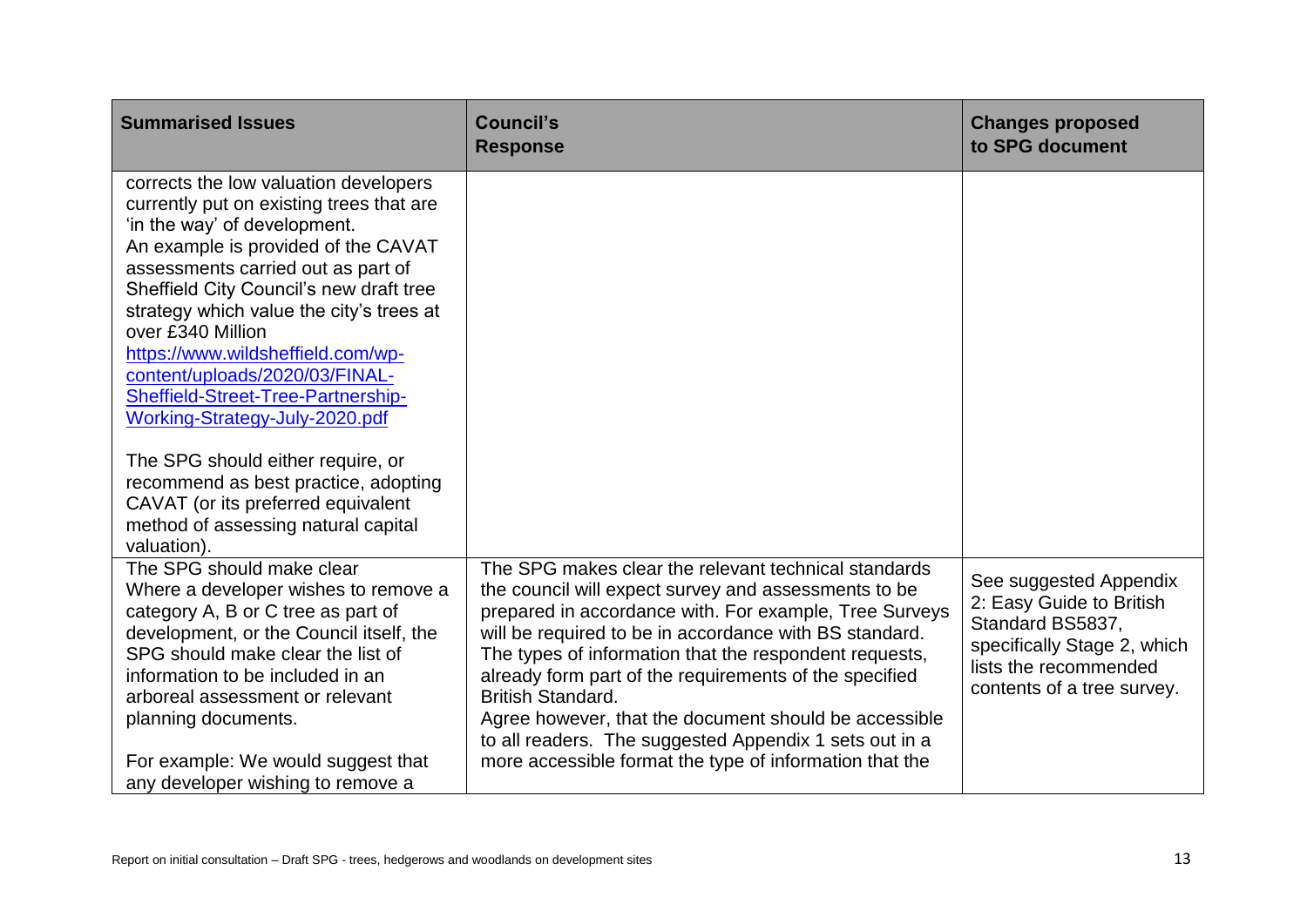| <b>Summarised Issues</b>                                                                                                                                                                                                                                                                                                                                                                                                                                                                       | <b>Council's</b><br><b>Response</b>                                                                                                                                                                                                                                                                                                                                                                                                                                                                                                                            | <b>Changes proposed</b><br>to SPG document                                                                                                                   |
|------------------------------------------------------------------------------------------------------------------------------------------------------------------------------------------------------------------------------------------------------------------------------------------------------------------------------------------------------------------------------------------------------------------------------------------------------------------------------------------------|----------------------------------------------------------------------------------------------------------------------------------------------------------------------------------------------------------------------------------------------------------------------------------------------------------------------------------------------------------------------------------------------------------------------------------------------------------------------------------------------------------------------------------------------------------------|--------------------------------------------------------------------------------------------------------------------------------------------------------------|
| corrects the low valuation developers<br>currently put on existing trees that are<br>'in the way' of development.<br>An example is provided of the CAVAT<br>assessments carried out as part of<br>Sheffield City Council's new draft tree<br>strategy which value the city's trees at<br>over £340 Million<br>https://www.wildsheffield.com/wp-<br>content/uploads/2020/03/FINAL-<br>Sheffield-Street-Tree-Partnership-<br>Working-Strategy-July-2020.pdf<br>The SPG should either require, or |                                                                                                                                                                                                                                                                                                                                                                                                                                                                                                                                                                |                                                                                                                                                              |
| recommend as best practice, adopting<br>CAVAT (or its preferred equivalent<br>method of assessing natural capital<br>valuation).                                                                                                                                                                                                                                                                                                                                                               |                                                                                                                                                                                                                                                                                                                                                                                                                                                                                                                                                                |                                                                                                                                                              |
| The SPG should make clear<br>Where a developer wishes to remove a<br>category A, B or C tree as part of<br>development, or the Council itself, the<br>SPG should make clear the list of<br>information to be included in an<br>arboreal assessment or relevant<br>planning documents.<br>For example: We would suggest that                                                                                                                                                                    | The SPG makes clear the relevant technical standards<br>the council will expect survey and assessments to be<br>prepared in accordance with. For example, Tree Surveys<br>will be required to be in accordance with BS standard.<br>The types of information that the respondent requests,<br>already form part of the requirements of the specified<br><b>British Standard.</b><br>Agree however, that the document should be accessible<br>to all readers. The suggested Appendix 1 sets out in a<br>more accessible format the type of information that the | See suggested Appendix<br>2: Easy Guide to British<br>Standard BS5837,<br>specifically Stage 2, which<br>lists the recommended<br>contents of a tree survey. |
| any developer wishing to remove a                                                                                                                                                                                                                                                                                                                                                                                                                                                              |                                                                                                                                                                                                                                                                                                                                                                                                                                                                                                                                                                |                                                                                                                                                              |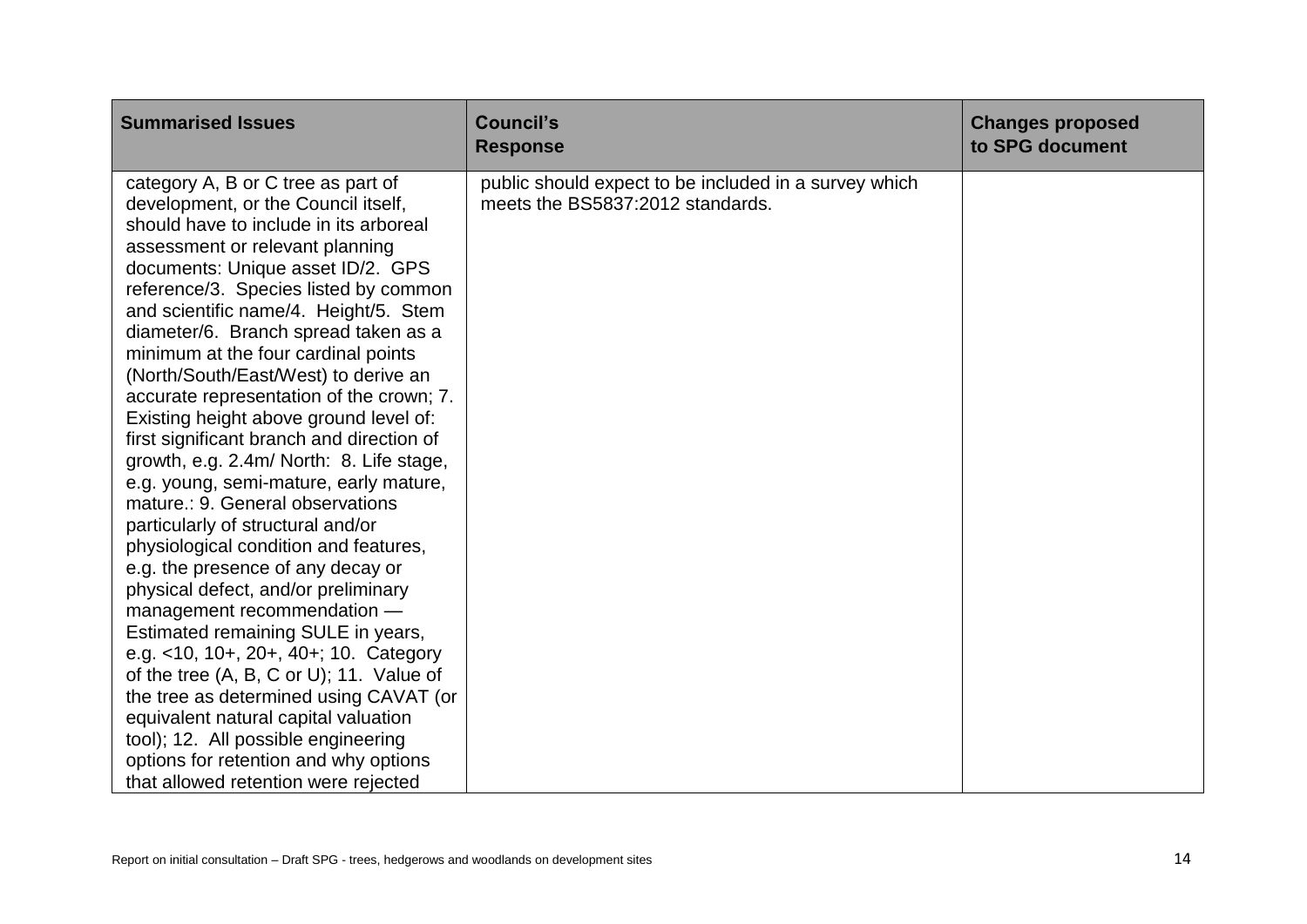| <b>Summarised Issues</b>                                                                                                                                                                                                                                                                                                                                                                                                                                                                                                                                                                                                                                                                                                                                                                                                                                                                                                                                                                                                                                                                                                                                                                        | <b>Council's</b><br><b>Response</b>                                                       | <b>Changes proposed</b><br>to SPG document |
|-------------------------------------------------------------------------------------------------------------------------------------------------------------------------------------------------------------------------------------------------------------------------------------------------------------------------------------------------------------------------------------------------------------------------------------------------------------------------------------------------------------------------------------------------------------------------------------------------------------------------------------------------------------------------------------------------------------------------------------------------------------------------------------------------------------------------------------------------------------------------------------------------------------------------------------------------------------------------------------------------------------------------------------------------------------------------------------------------------------------------------------------------------------------------------------------------|-------------------------------------------------------------------------------------------|--------------------------------------------|
| category A, B or C tree as part of<br>development, or the Council itself,<br>should have to include in its arboreal<br>assessment or relevant planning<br>documents: Unique asset ID/2. GPS<br>reference/3. Species listed by common<br>and scientific name/4. Height/5. Stem<br>diameter/6. Branch spread taken as a<br>minimum at the four cardinal points<br>(North/South/East/West) to derive an<br>accurate representation of the crown; 7.<br>Existing height above ground level of:<br>first significant branch and direction of<br>growth, e.g. 2.4m/ North: 8. Life stage,<br>e.g. young, semi-mature, early mature,<br>mature.: 9. General observations<br>particularly of structural and/or<br>physiological condition and features,<br>e.g. the presence of any decay or<br>physical defect, and/or preliminary<br>management recommendation -<br>Estimated remaining SULE in years,<br>e.g. <10, 10+, 20+, 40+; 10. Category<br>of the tree (A, B, C or U); 11. Value of<br>the tree as determined using CAVAT (or<br>equivalent natural capital valuation<br>tool); 12. All possible engineering<br>options for retention and why options<br>that allowed retention were rejected | public should expect to be included in a survey which<br>meets the BS5837:2012 standards. |                                            |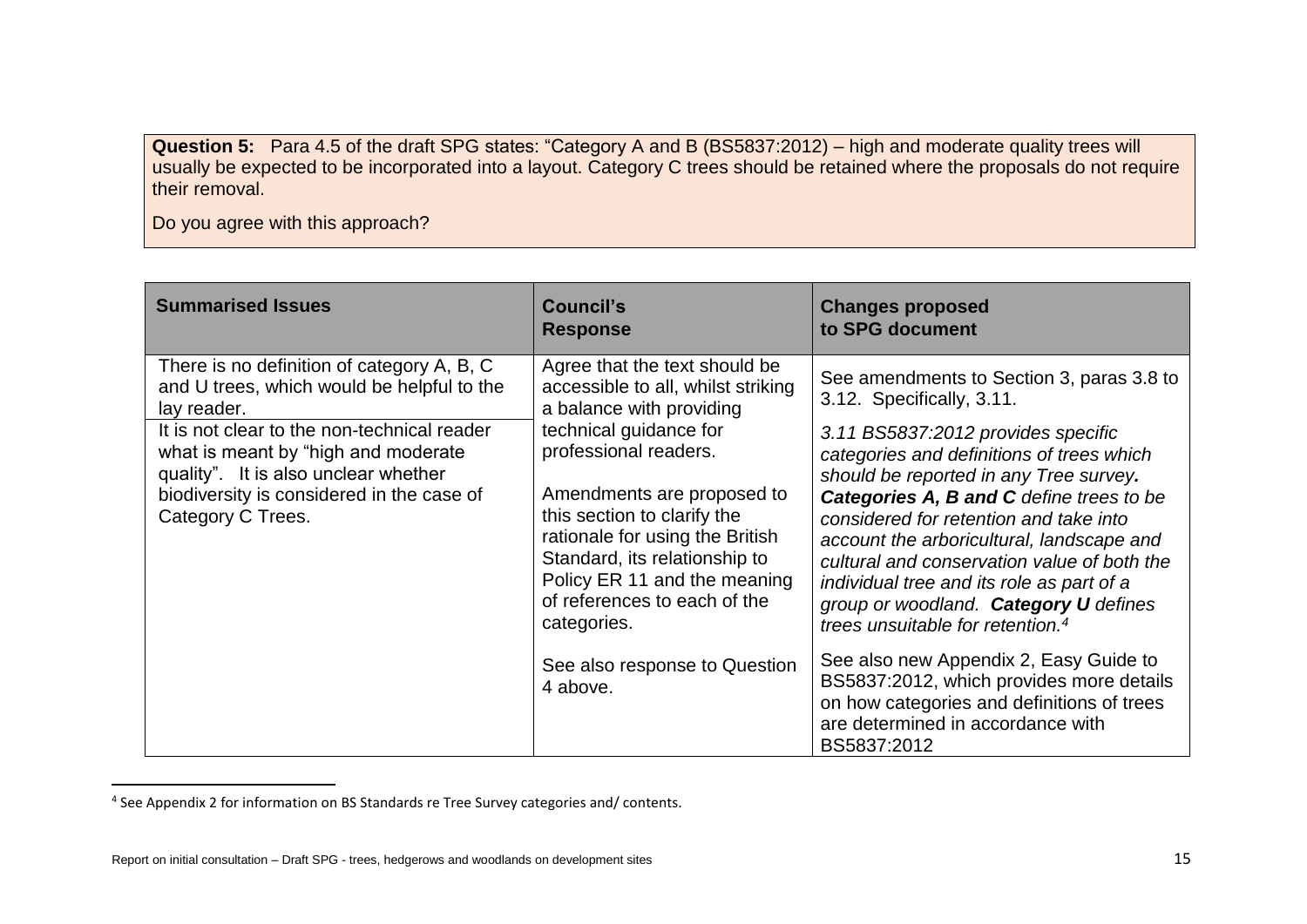**Question 5:** Para 4.5 of the draft SPG states: "Category A and B (BS5837:2012) – high and moderate quality trees will usually be expected to be incorporated into a layout. Category C trees should be retained where the proposals do not require their removal.

Do you agree with this approach?

| <b>Summarised Issues</b>                                                                                                                                                                                                                                                                                 | <b>Council's</b><br><b>Response</b>                                                                                                                                                                                                                                                                                                                                                                             | <b>Changes proposed</b><br>to SPG document                                                                                                                                                                                                                                                                                                                                                                                                                                                                                                                                                                        |
|----------------------------------------------------------------------------------------------------------------------------------------------------------------------------------------------------------------------------------------------------------------------------------------------------------|-----------------------------------------------------------------------------------------------------------------------------------------------------------------------------------------------------------------------------------------------------------------------------------------------------------------------------------------------------------------------------------------------------------------|-------------------------------------------------------------------------------------------------------------------------------------------------------------------------------------------------------------------------------------------------------------------------------------------------------------------------------------------------------------------------------------------------------------------------------------------------------------------------------------------------------------------------------------------------------------------------------------------------------------------|
| There is no definition of category A, B, C<br>and U trees, which would be helpful to the<br>lay reader.<br>It is not clear to the non-technical reader<br>what is meant by "high and moderate"<br>quality". It is also unclear whether<br>biodiversity is considered in the case of<br>Category C Trees. | Agree that the text should be<br>accessible to all, whilst striking<br>a balance with providing<br>technical guidance for<br>professional readers.<br>Amendments are proposed to<br>this section to clarify the<br>rationale for using the British<br>Standard, its relationship to<br>Policy ER 11 and the meaning<br>of references to each of the<br>categories.<br>See also response to Question<br>4 above. | See amendments to Section 3, paras 3.8 to<br>3.12. Specifically, 3.11.<br>3.11 BS5837:2012 provides specific<br>categories and definitions of trees which<br>should be reported in any Tree survey.<br>Categories A, B and C define trees to be<br>considered for retention and take into<br>account the arboricultural, landscape and<br>cultural and conservation value of both the<br>individual tree and its role as part of a<br>group or woodland. Category U defines<br>trees unsuitable for retention. <sup>4</sup><br>See also new Appendix 2, Easy Guide to<br>BS5837:2012, which provides more details |
|                                                                                                                                                                                                                                                                                                          |                                                                                                                                                                                                                                                                                                                                                                                                                 | on how categories and definitions of trees<br>are determined in accordance with<br>BS5837:2012                                                                                                                                                                                                                                                                                                                                                                                                                                                                                                                    |

<sup>4</sup> See Appendix 2 for information on BS Standards re Tree Survey categories and/ contents.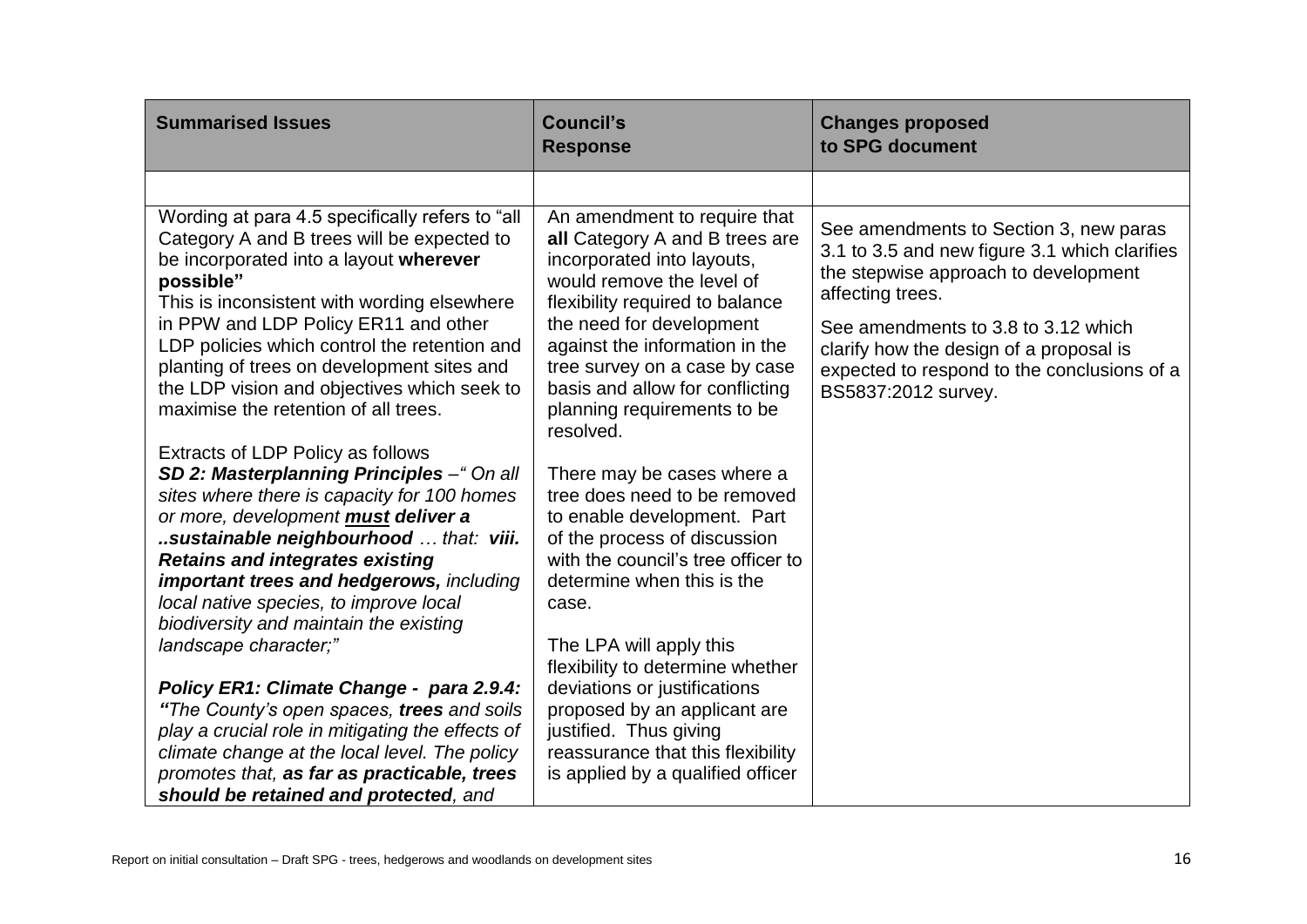| <b>Summarised Issues</b>                                                                                                                                                                                                                                                                                                                                                                                                         | <b>Council's</b><br><b>Response</b>                                                                                                                                                                                                                                                                                                        | <b>Changes proposed</b><br>to SPG document                                                                                                                                                                                                                                                                  |
|----------------------------------------------------------------------------------------------------------------------------------------------------------------------------------------------------------------------------------------------------------------------------------------------------------------------------------------------------------------------------------------------------------------------------------|--------------------------------------------------------------------------------------------------------------------------------------------------------------------------------------------------------------------------------------------------------------------------------------------------------------------------------------------|-------------------------------------------------------------------------------------------------------------------------------------------------------------------------------------------------------------------------------------------------------------------------------------------------------------|
|                                                                                                                                                                                                                                                                                                                                                                                                                                  |                                                                                                                                                                                                                                                                                                                                            |                                                                                                                                                                                                                                                                                                             |
| Wording at para 4.5 specifically refers to "all<br>Category A and B trees will be expected to<br>be incorporated into a layout wherever<br>possible"<br>This is inconsistent with wording elsewhere<br>in PPW and LDP Policy ER11 and other<br>LDP policies which control the retention and<br>planting of trees on development sites and<br>the LDP vision and objectives which seek to<br>maximise the retention of all trees. | An amendment to require that<br>all Category A and B trees are<br>incorporated into layouts,<br>would remove the level of<br>flexibility required to balance<br>the need for development<br>against the information in the<br>tree survey on a case by case<br>basis and allow for conflicting<br>planning requirements to be<br>resolved. | See amendments to Section 3, new paras<br>3.1 to 3.5 and new figure 3.1 which clarifies<br>the stepwise approach to development<br>affecting trees.<br>See amendments to 3.8 to 3.12 which<br>clarify how the design of a proposal is<br>expected to respond to the conclusions of a<br>BS5837:2012 survey. |
| Extracts of LDP Policy as follows<br>SD 2: Masterplanning Principles - "On all                                                                                                                                                                                                                                                                                                                                                   | There may be cases where a                                                                                                                                                                                                                                                                                                                 |                                                                                                                                                                                                                                                                                                             |
| sites where there is capacity for 100 homes<br>or more, development <b>must deliver a</b>                                                                                                                                                                                                                                                                                                                                        | tree does need to be removed<br>to enable development. Part                                                                                                                                                                                                                                                                                |                                                                                                                                                                                                                                                                                                             |
| sustainable neighbourhood  that: viii.<br><b>Retains and integrates existing</b>                                                                                                                                                                                                                                                                                                                                                 | of the process of discussion<br>with the council's tree officer to                                                                                                                                                                                                                                                                         |                                                                                                                                                                                                                                                                                                             |
| important trees and hedgerows, including<br>local native species, to improve local<br>biodiversity and maintain the existing                                                                                                                                                                                                                                                                                                     | determine when this is the<br>case.                                                                                                                                                                                                                                                                                                        |                                                                                                                                                                                                                                                                                                             |
| landscape character;"                                                                                                                                                                                                                                                                                                                                                                                                            | The LPA will apply this<br>flexibility to determine whether                                                                                                                                                                                                                                                                                |                                                                                                                                                                                                                                                                                                             |
| Policy ER1: Climate Change - para 2.9.4:<br>"The County's open spaces, trees and soils<br>play a crucial role in mitigating the effects of<br>climate change at the local level. The policy<br>promotes that, as far as practicable, trees<br>should be retained and protected, and                                                                                                                                              | deviations or justifications<br>proposed by an applicant are<br>justified. Thus giving<br>reassurance that this flexibility<br>is applied by a qualified officer                                                                                                                                                                           |                                                                                                                                                                                                                                                                                                             |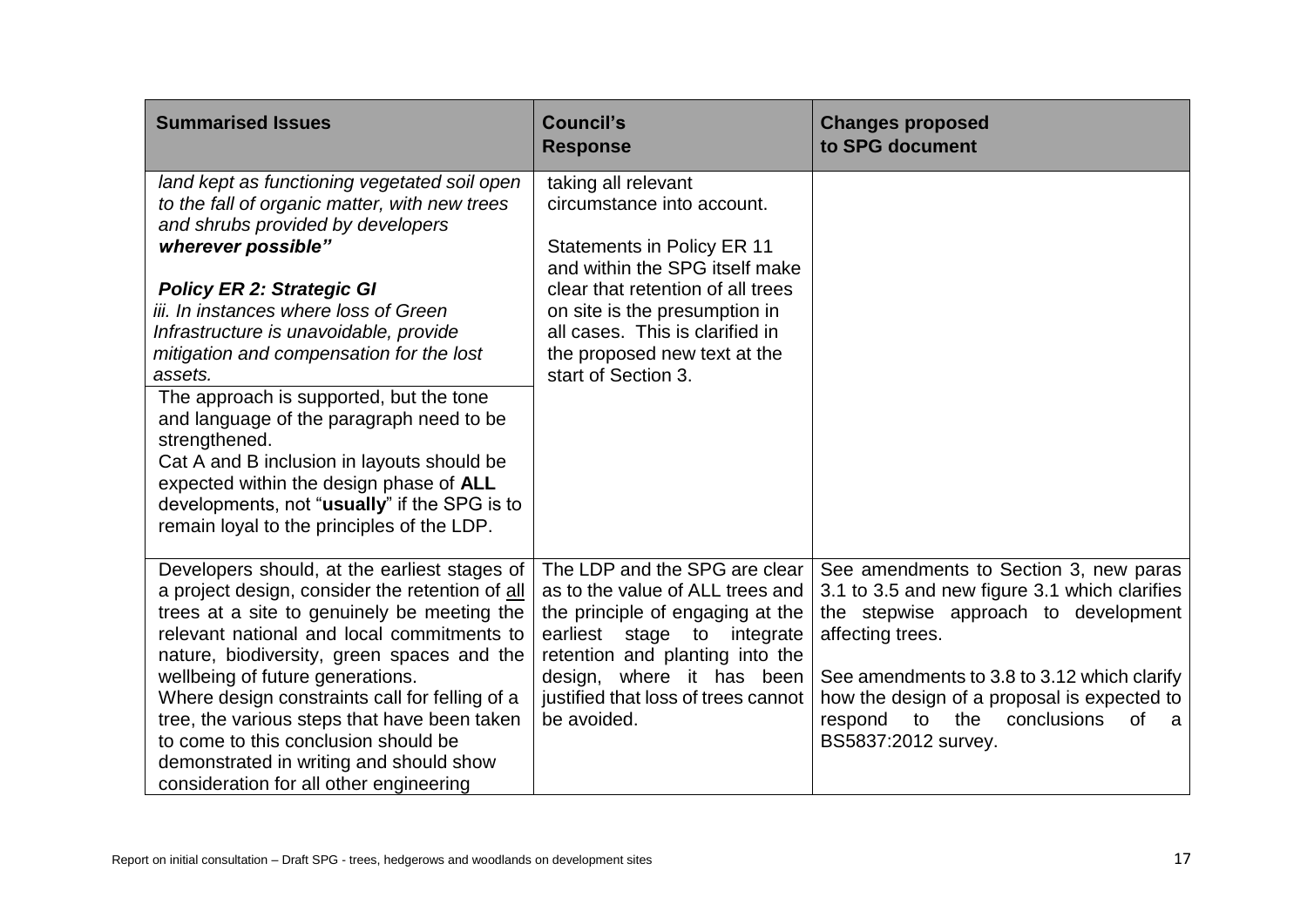| <b>Summarised Issues</b>                                                                                                                                                                                                                                                                                                                                                                                                                                                                                                                                                                                                              | <b>Council's</b><br><b>Response</b>                                                                                                                                                                                                                                                      | <b>Changes proposed</b><br>to SPG document                                                                                                                                                                                                                                                                                        |
|---------------------------------------------------------------------------------------------------------------------------------------------------------------------------------------------------------------------------------------------------------------------------------------------------------------------------------------------------------------------------------------------------------------------------------------------------------------------------------------------------------------------------------------------------------------------------------------------------------------------------------------|------------------------------------------------------------------------------------------------------------------------------------------------------------------------------------------------------------------------------------------------------------------------------------------|-----------------------------------------------------------------------------------------------------------------------------------------------------------------------------------------------------------------------------------------------------------------------------------------------------------------------------------|
| land kept as functioning vegetated soil open<br>to the fall of organic matter, with new trees<br>and shrubs provided by developers<br>wherever possible"<br><b>Policy ER 2: Strategic GI</b><br>iii. In instances where loss of Green<br>Infrastructure is unavoidable, provide<br>mitigation and compensation for the lost<br>assets.<br>The approach is supported, but the tone<br>and language of the paragraph need to be<br>strengthened.<br>Cat A and B inclusion in layouts should be<br>expected within the design phase of ALL<br>developments, not "usually" if the SPG is to<br>remain loyal to the principles of the LDP. | taking all relevant<br>circumstance into account.<br><b>Statements in Policy ER 11</b><br>and within the SPG itself make<br>clear that retention of all trees<br>on site is the presumption in<br>all cases. This is clarified in<br>the proposed new text at the<br>start of Section 3. |                                                                                                                                                                                                                                                                                                                                   |
| Developers should, at the earliest stages of<br>a project design, consider the retention of all<br>trees at a site to genuinely be meeting the<br>relevant national and local commitments to<br>nature, biodiversity, green spaces and the<br>wellbeing of future generations.<br>Where design constraints call for felling of a<br>tree, the various steps that have been taken<br>to come to this conclusion should be<br>demonstrated in writing and should show<br>consideration for all other engineering                                                                                                                        | The LDP and the SPG are clear<br>as to the value of ALL trees and<br>the principle of engaging at the<br>earliest stage to integrate<br>retention and planting into the<br>design, where it has been<br>justified that loss of trees cannot<br>be avoided.                               | See amendments to Section 3, new paras<br>3.1 to 3.5 and new figure 3.1 which clarifies<br>the stepwise approach to development<br>affecting trees.<br>See amendments to 3.8 to 3.12 which clarify<br>how the design of a proposal is expected to<br>respond<br>to<br>the<br>conclusions<br><b>of</b><br>a<br>BS5837:2012 survey. |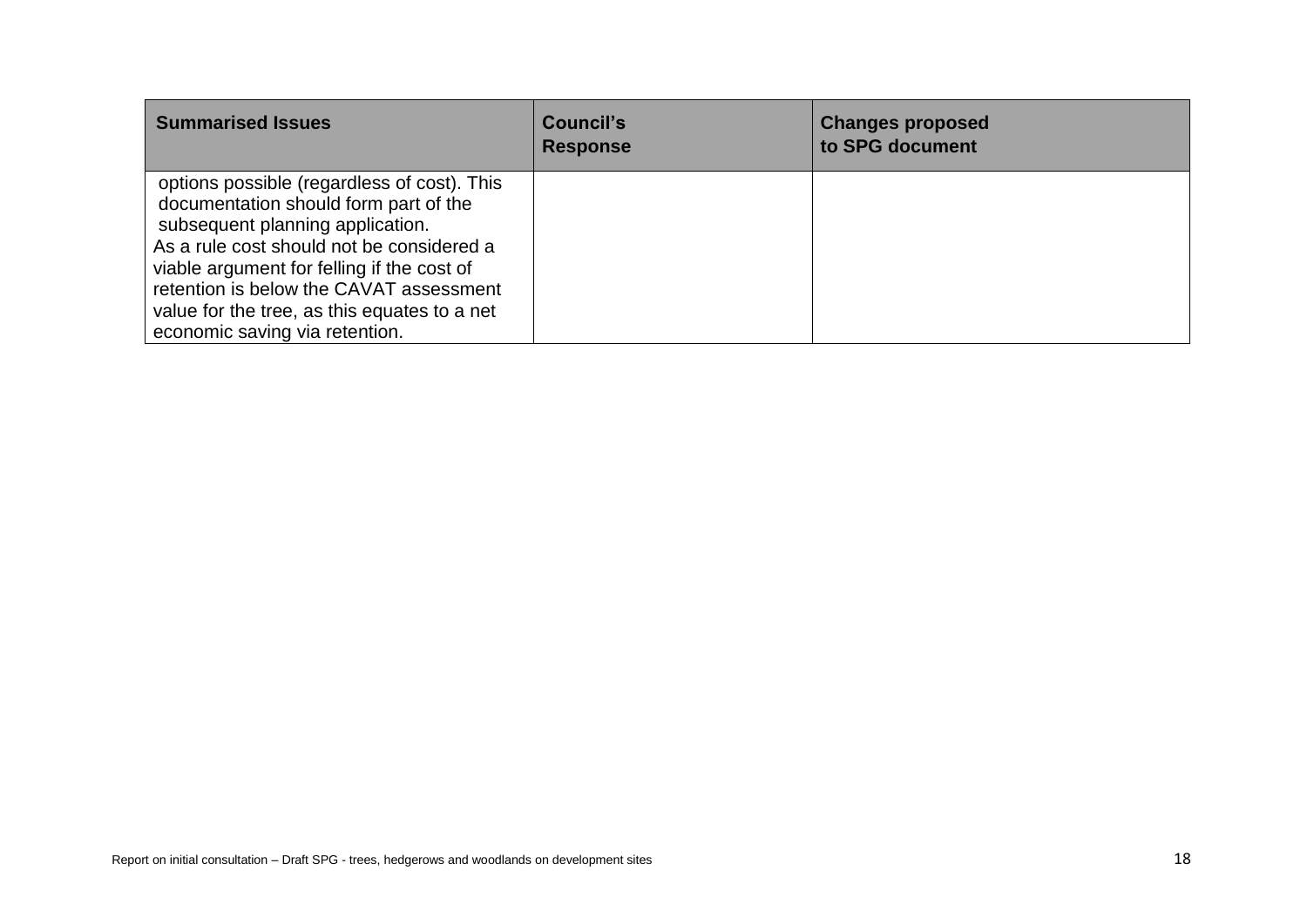| <b>Summarised Issues</b>                                                                                                                                                                                                                                                                                                                         | Council's<br><b>Response</b> | <b>Changes proposed</b><br>to SPG document |
|--------------------------------------------------------------------------------------------------------------------------------------------------------------------------------------------------------------------------------------------------------------------------------------------------------------------------------------------------|------------------------------|--------------------------------------------|
| options possible (regardless of cost). This<br>documentation should form part of the<br>subsequent planning application.<br>As a rule cost should not be considered a<br>viable argument for felling if the cost of<br>retention is below the CAVAT assessment<br>value for the tree, as this equates to a net<br>economic saving via retention. |                              |                                            |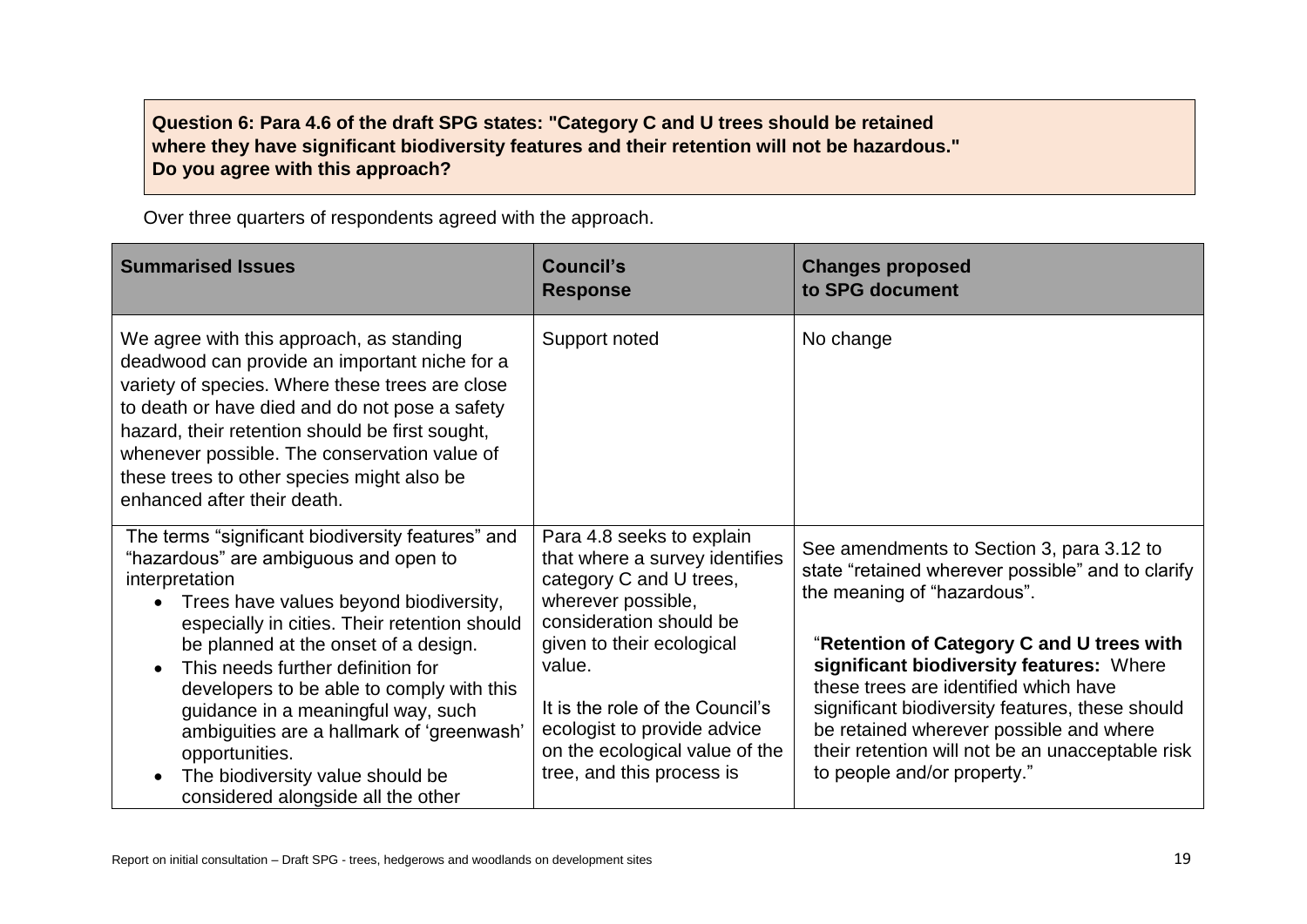## **Question 6: Para 4.6 of the draft SPG states: "Category C and U trees should be retained where they have significant biodiversity features and their retention will not be hazardous." Do you agree with this approach?**

Over three quarters of respondents agreed with the approach.

| <b>Summarised Issues</b>                                                                                                                                                                                                                                                                                                                                                       | <b>Council's</b><br><b>Response</b>                                                                                                                                  | <b>Changes proposed</b><br>to SPG document                                                                                                                                                                                                                                                                      |
|--------------------------------------------------------------------------------------------------------------------------------------------------------------------------------------------------------------------------------------------------------------------------------------------------------------------------------------------------------------------------------|----------------------------------------------------------------------------------------------------------------------------------------------------------------------|-----------------------------------------------------------------------------------------------------------------------------------------------------------------------------------------------------------------------------------------------------------------------------------------------------------------|
| We agree with this approach, as standing<br>deadwood can provide an important niche for a<br>variety of species. Where these trees are close<br>to death or have died and do not pose a safety<br>hazard, their retention should be first sought,<br>whenever possible. The conservation value of<br>these trees to other species might also be<br>enhanced after their death. | Support noted                                                                                                                                                        | No change                                                                                                                                                                                                                                                                                                       |
| The terms "significant biodiversity features" and<br>"hazardous" are ambiguous and open to<br>interpretation<br>Trees have values beyond biodiversity,<br>$\bullet$<br>especially in cities. Their retention should                                                                                                                                                            | Para 4.8 seeks to explain<br>that where a survey identifies<br>category C and U trees,<br>wherever possible,<br>consideration should be                              | See amendments to Section 3, para 3.12 to<br>state "retained wherever possible" and to clarify<br>the meaning of "hazardous".                                                                                                                                                                                   |
| be planned at the onset of a design.<br>This needs further definition for<br>developers to be able to comply with this<br>guidance in a meaningful way, such<br>ambiguities are a hallmark of 'greenwash'<br>opportunities.<br>The biodiversity value should be<br>considered alongside all the other                                                                          | given to their ecological<br>value.<br>It is the role of the Council's<br>ecologist to provide advice<br>on the ecological value of the<br>tree, and this process is | "Retention of Category C and U trees with<br>significant biodiversity features: Where<br>these trees are identified which have<br>significant biodiversity features, these should<br>be retained wherever possible and where<br>their retention will not be an unacceptable risk<br>to people and/or property." |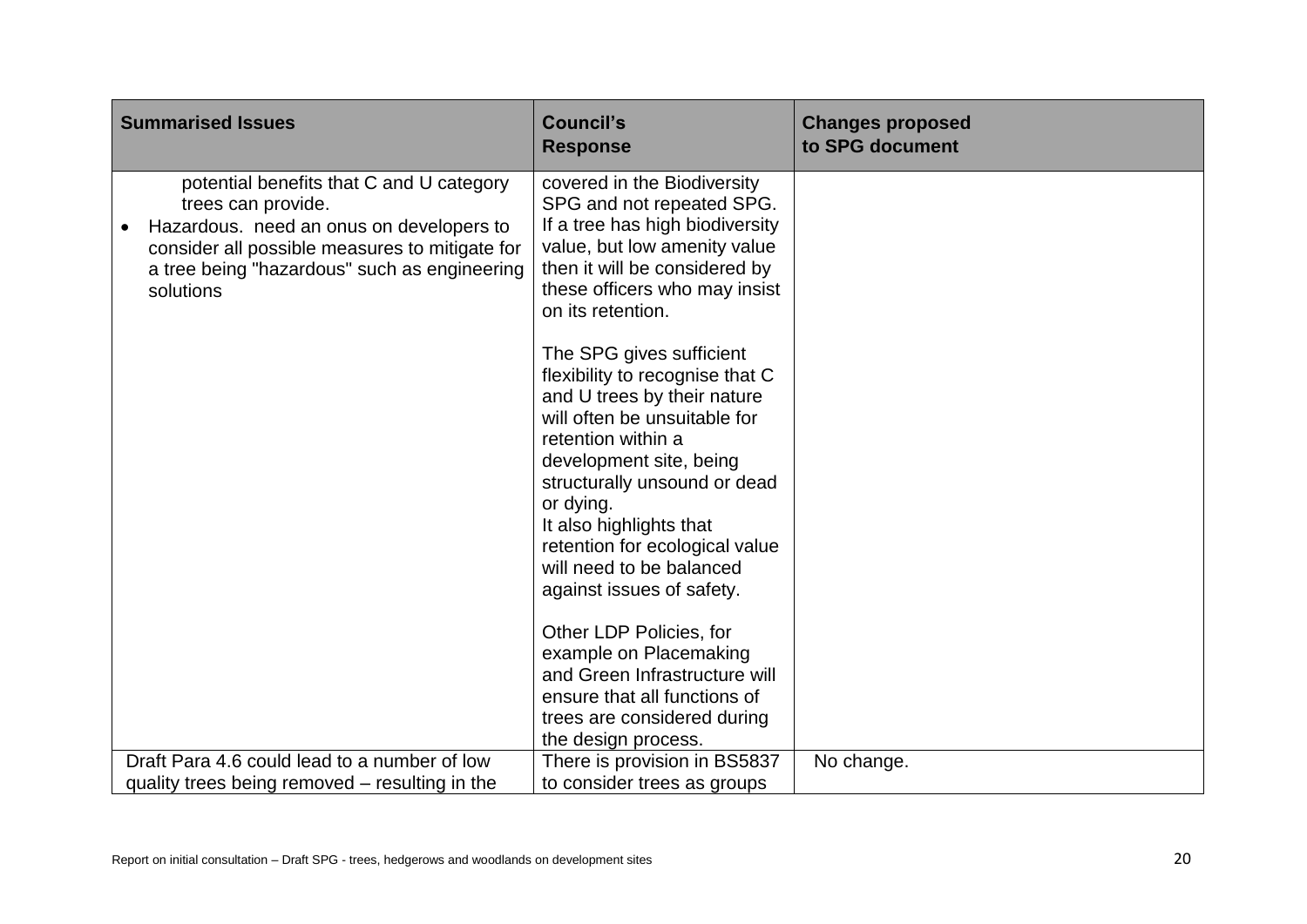| <b>Summarised Issues</b>                                                                                                                                                                                                  | <b>Council's</b><br><b>Response</b>                                                                                                                                                                                                                                                                                                            | <b>Changes proposed</b><br>to SPG document |
|---------------------------------------------------------------------------------------------------------------------------------------------------------------------------------------------------------------------------|------------------------------------------------------------------------------------------------------------------------------------------------------------------------------------------------------------------------------------------------------------------------------------------------------------------------------------------------|--------------------------------------------|
| potential benefits that C and U category<br>trees can provide.<br>Hazardous. need an onus on developers to<br>consider all possible measures to mitigate for<br>a tree being "hazardous" such as engineering<br>solutions | covered in the Biodiversity<br>SPG and not repeated SPG.<br>If a tree has high biodiversity<br>value, but low amenity value<br>then it will be considered by<br>these officers who may insist<br>on its retention.                                                                                                                             |                                            |
|                                                                                                                                                                                                                           | The SPG gives sufficient<br>flexibility to recognise that C<br>and U trees by their nature<br>will often be unsuitable for<br>retention within a<br>development site, being<br>structurally unsound or dead<br>or dying.<br>It also highlights that<br>retention for ecological value<br>will need to be balanced<br>against issues of safety. |                                            |
|                                                                                                                                                                                                                           | Other LDP Policies, for<br>example on Placemaking<br>and Green Infrastructure will<br>ensure that all functions of<br>trees are considered during<br>the design process.                                                                                                                                                                       |                                            |
| Draft Para 4.6 could lead to a number of low<br>quality trees being removed – resulting in the                                                                                                                            | There is provision in BS5837<br>to consider trees as groups                                                                                                                                                                                                                                                                                    | No change.                                 |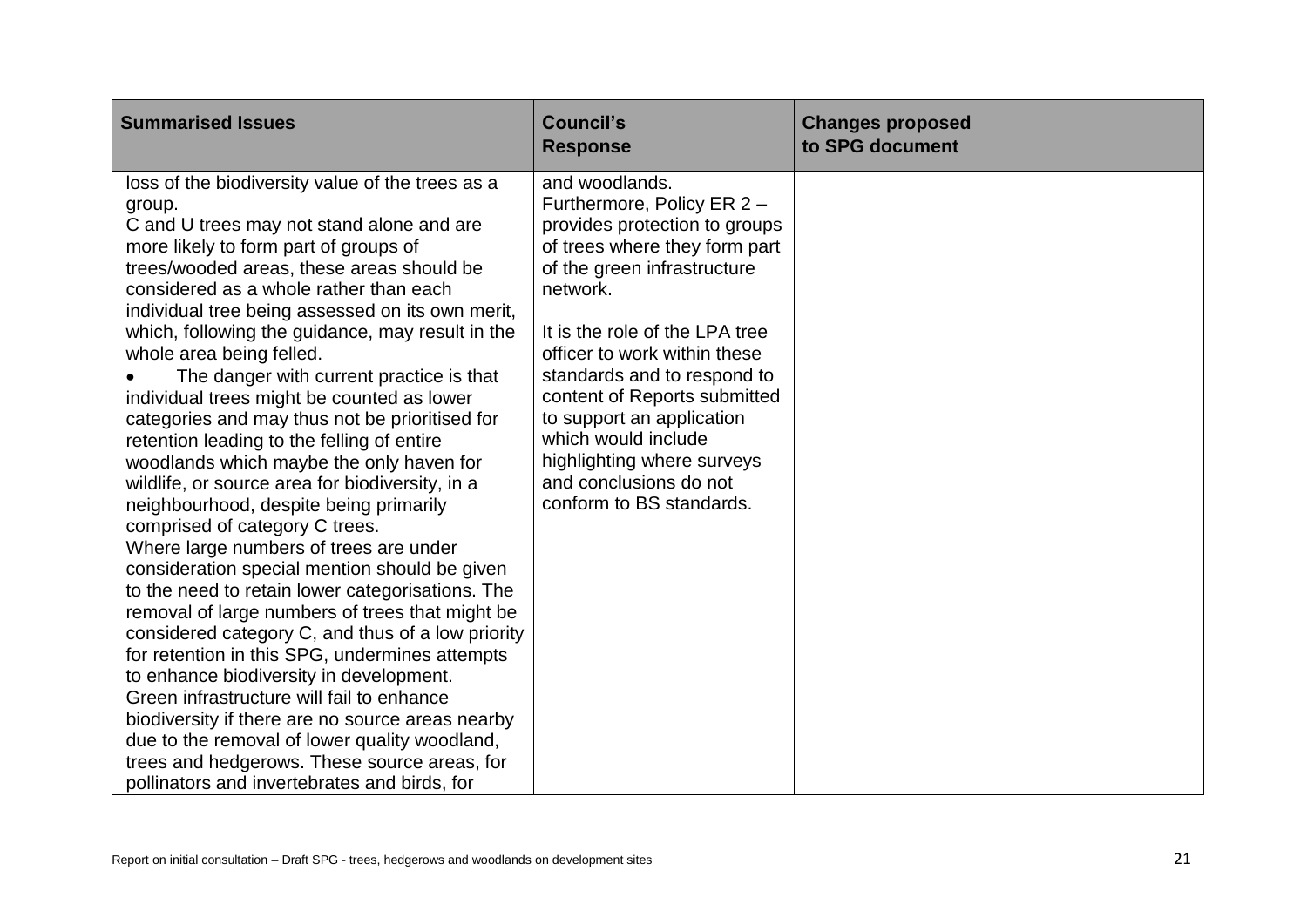| <b>Summarised Issues</b>                                                                                                                                                                                                                                                                                                                                                                                                                                                                                                                                                                                                                                                                                                                                                                                                                                                                                                                                                                                                                                                                             | <b>Council's</b><br><b>Response</b>                                                                                                                                                                                                                                                                                                                                                                                                | <b>Changes proposed</b><br>to SPG document |
|------------------------------------------------------------------------------------------------------------------------------------------------------------------------------------------------------------------------------------------------------------------------------------------------------------------------------------------------------------------------------------------------------------------------------------------------------------------------------------------------------------------------------------------------------------------------------------------------------------------------------------------------------------------------------------------------------------------------------------------------------------------------------------------------------------------------------------------------------------------------------------------------------------------------------------------------------------------------------------------------------------------------------------------------------------------------------------------------------|------------------------------------------------------------------------------------------------------------------------------------------------------------------------------------------------------------------------------------------------------------------------------------------------------------------------------------------------------------------------------------------------------------------------------------|--------------------------------------------|
| loss of the biodiversity value of the trees as a<br>group.<br>C and U trees may not stand alone and are<br>more likely to form part of groups of<br>trees/wooded areas, these areas should be<br>considered as a whole rather than each<br>individual tree being assessed on its own merit,<br>which, following the guidance, may result in the<br>whole area being felled.<br>The danger with current practice is that<br>individual trees might be counted as lower<br>categories and may thus not be prioritised for<br>retention leading to the felling of entire<br>woodlands which maybe the only haven for<br>wildlife, or source area for biodiversity, in a<br>neighbourhood, despite being primarily<br>comprised of category C trees.<br>Where large numbers of trees are under<br>consideration special mention should be given<br>to the need to retain lower categorisations. The<br>removal of large numbers of trees that might be<br>considered category C, and thus of a low priority<br>for retention in this SPG, undermines attempts<br>to enhance biodiversity in development. | and woodlands.<br>Furthermore, Policy ER 2 -<br>provides protection to groups<br>of trees where they form part<br>of the green infrastructure<br>network.<br>It is the role of the LPA tree<br>officer to work within these<br>standards and to respond to<br>content of Reports submitted<br>to support an application<br>which would include<br>highlighting where surveys<br>and conclusions do not<br>conform to BS standards. |                                            |
| Green infrastructure will fail to enhance<br>biodiversity if there are no source areas nearby<br>due to the removal of lower quality woodland,<br>trees and hedgerows. These source areas, for<br>pollinators and invertebrates and birds, for                                                                                                                                                                                                                                                                                                                                                                                                                                                                                                                                                                                                                                                                                                                                                                                                                                                       |                                                                                                                                                                                                                                                                                                                                                                                                                                    |                                            |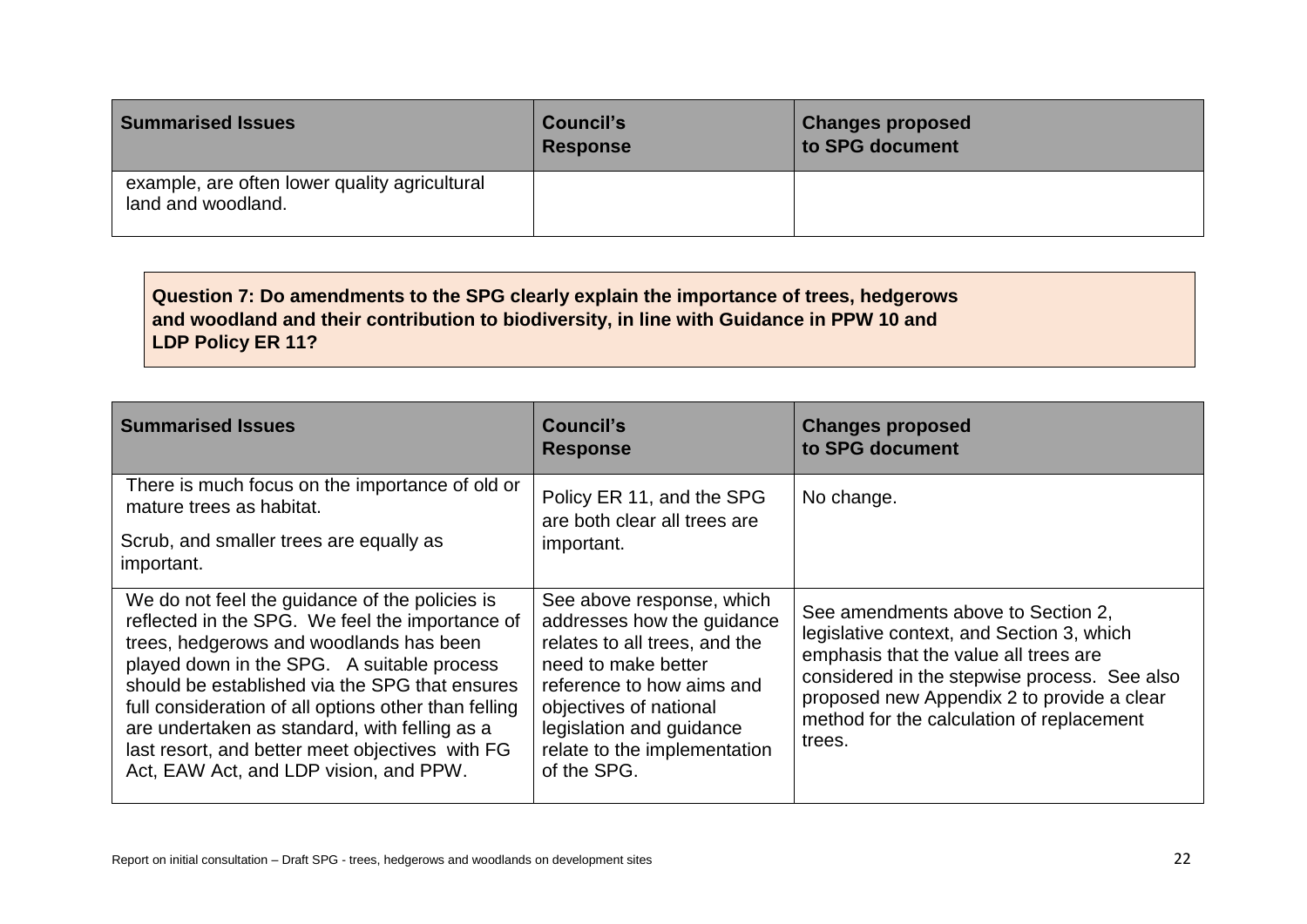| <b>Summarised Issues</b>                                            | <b>Council's</b><br><b>Response</b> | <b>Changes proposed</b><br>to SPG document |
|---------------------------------------------------------------------|-------------------------------------|--------------------------------------------|
| example, are often lower quality agricultural<br>land and woodland. |                                     |                                            |

# **Question 7: Do amendments to the SPG clearly explain the importance of trees, hedgerows and woodland and their contribution to biodiversity, in line with Guidance in PPW 10 and LDP Policy ER 11?**

| <b>Summarised Issues</b>                                                                                                                                                                                                                                                                                                                                                                                                                           | Council's<br><b>Response</b>                                                                                                                                                                                                                      | <b>Changes proposed</b><br>to SPG document                                                                                                                                                                                                                                    |
|----------------------------------------------------------------------------------------------------------------------------------------------------------------------------------------------------------------------------------------------------------------------------------------------------------------------------------------------------------------------------------------------------------------------------------------------------|---------------------------------------------------------------------------------------------------------------------------------------------------------------------------------------------------------------------------------------------------|-------------------------------------------------------------------------------------------------------------------------------------------------------------------------------------------------------------------------------------------------------------------------------|
| There is much focus on the importance of old or<br>mature trees as habitat.<br>Scrub, and smaller trees are equally as<br>important.                                                                                                                                                                                                                                                                                                               | Policy ER 11, and the SPG<br>are both clear all trees are<br>important.                                                                                                                                                                           | No change.                                                                                                                                                                                                                                                                    |
| We do not feel the guidance of the policies is<br>reflected in the SPG. We feel the importance of<br>trees, hedgerows and woodlands has been<br>played down in the SPG. A suitable process<br>should be established via the SPG that ensures<br>full consideration of all options other than felling<br>are undertaken as standard, with felling as a<br>last resort, and better meet objectives with FG<br>Act, EAW Act, and LDP vision, and PPW. | See above response, which<br>addresses how the guidance<br>relates to all trees, and the<br>need to make better<br>reference to how aims and<br>objectives of national<br>legislation and guidance<br>relate to the implementation<br>of the SPG. | See amendments above to Section 2,<br>legislative context, and Section 3, which<br>emphasis that the value all trees are<br>considered in the stepwise process. See also<br>proposed new Appendix 2 to provide a clear<br>method for the calculation of replacement<br>trees. |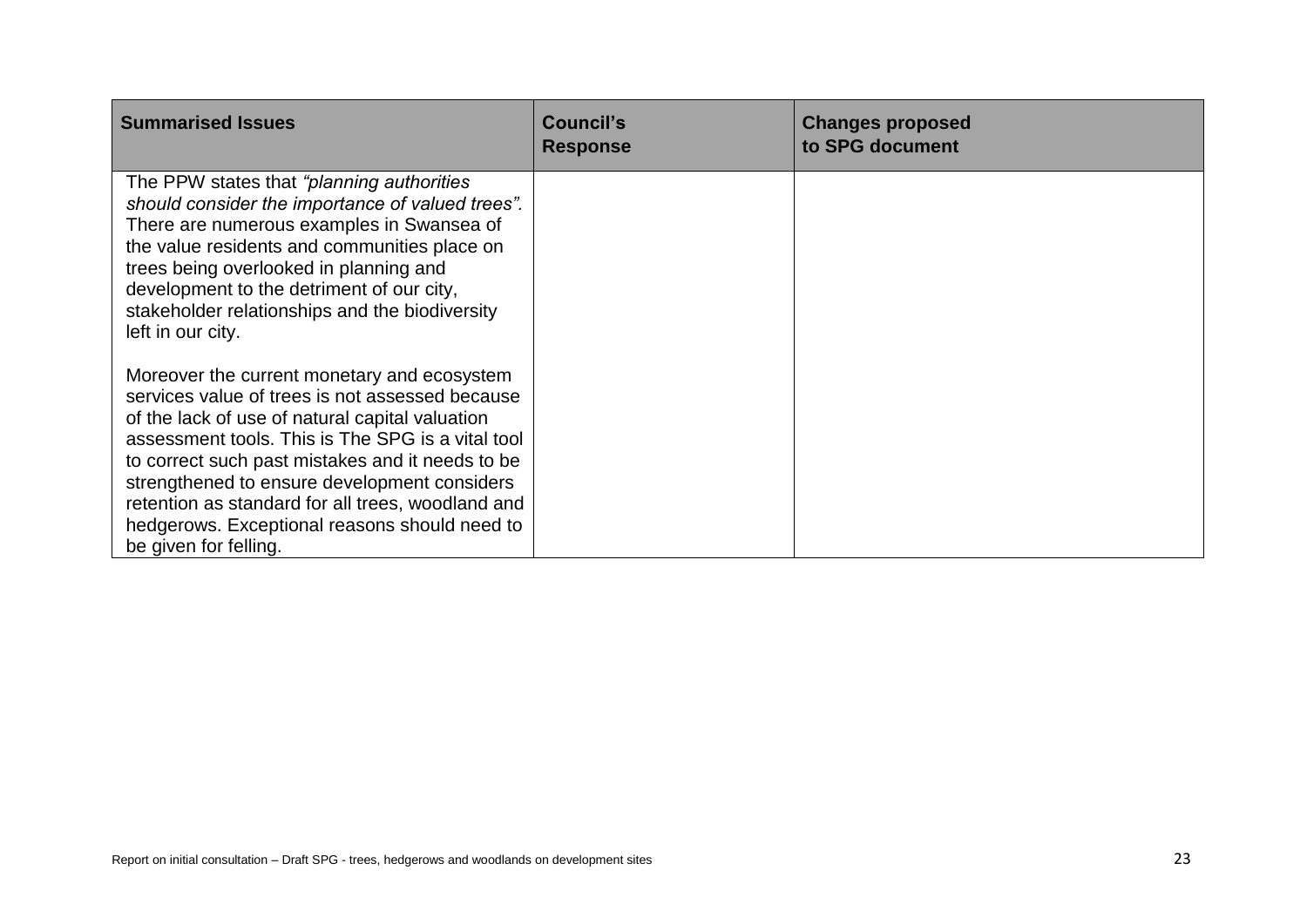| <b>Summarised Issues</b>                                                                                                                                                                                                                                                                                                                                                                                                                  | <b>Council's</b><br><b>Response</b> | <b>Changes proposed</b><br>to SPG document |
|-------------------------------------------------------------------------------------------------------------------------------------------------------------------------------------------------------------------------------------------------------------------------------------------------------------------------------------------------------------------------------------------------------------------------------------------|-------------------------------------|--------------------------------------------|
| The PPW states that "planning authorities"<br>should consider the importance of valued trees".<br>There are numerous examples in Swansea of<br>the value residents and communities place on<br>trees being overlooked in planning and<br>development to the detriment of our city,<br>stakeholder relationships and the biodiversity<br>left in our city.                                                                                 |                                     |                                            |
| Moreover the current monetary and ecosystem<br>services value of trees is not assessed because<br>of the lack of use of natural capital valuation<br>assessment tools. This is The SPG is a vital tool<br>to correct such past mistakes and it needs to be<br>strengthened to ensure development considers<br>retention as standard for all trees, woodland and<br>hedgerows. Exceptional reasons should need to<br>be given for felling. |                                     |                                            |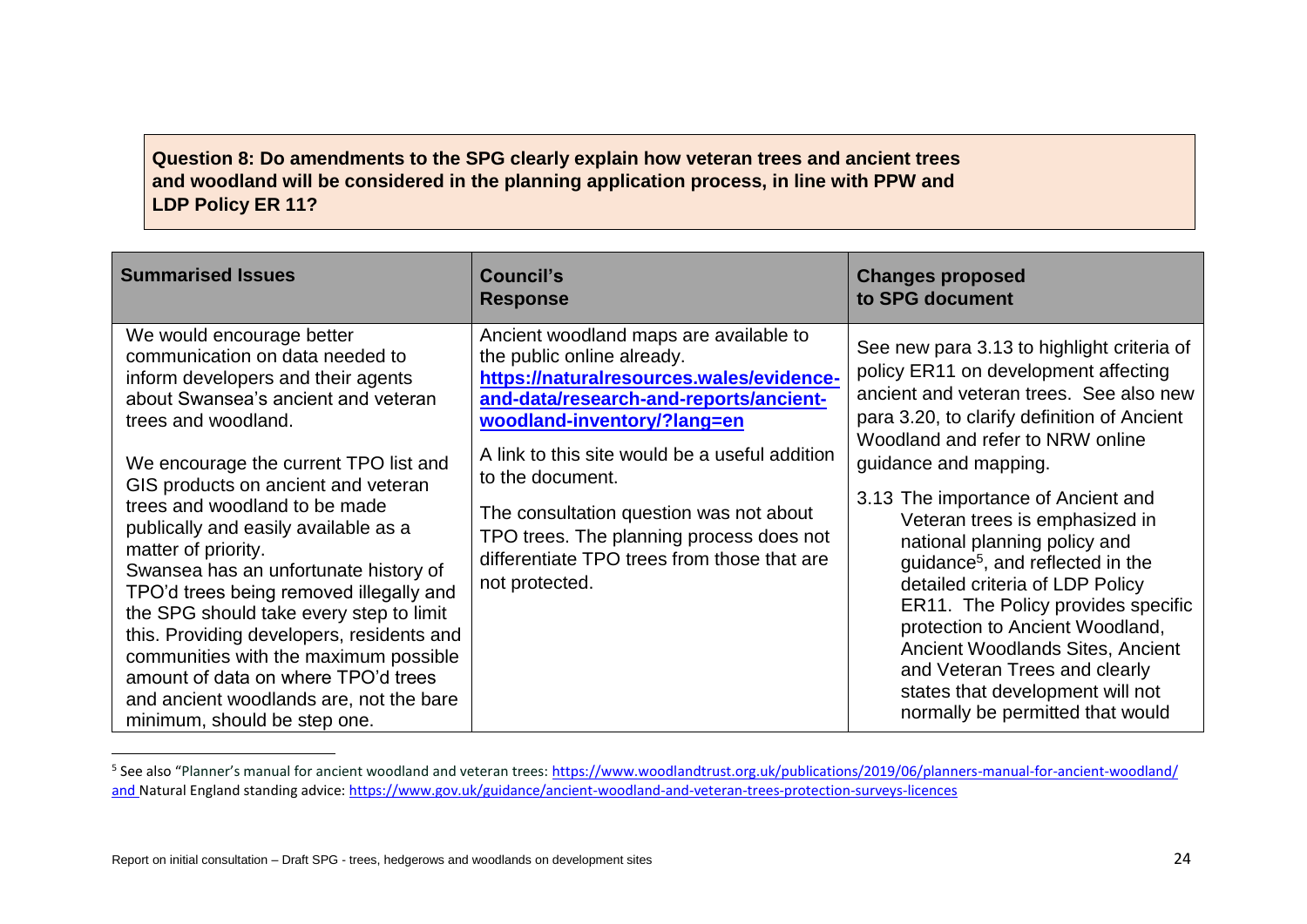# **Question 8: Do amendments to the SPG clearly explain how veteran trees and ancient trees and woodland will be considered in the planning application process, in line with PPW and LDP Policy ER 11?**

| <b>Summarised Issues</b>                                                                                                                                                                                                                                                                                                                                                                                                                                                                                                                                                                                                                                                                | Council's<br><b>Response</b>                                                                                                                                                                                                                                                                                                                                                                                            | <b>Changes proposed</b><br>to SPG document                                                                                                                                                                                                                                                                                                                                                                                                                                                                                                                                                                                                                 |
|-----------------------------------------------------------------------------------------------------------------------------------------------------------------------------------------------------------------------------------------------------------------------------------------------------------------------------------------------------------------------------------------------------------------------------------------------------------------------------------------------------------------------------------------------------------------------------------------------------------------------------------------------------------------------------------------|-------------------------------------------------------------------------------------------------------------------------------------------------------------------------------------------------------------------------------------------------------------------------------------------------------------------------------------------------------------------------------------------------------------------------|------------------------------------------------------------------------------------------------------------------------------------------------------------------------------------------------------------------------------------------------------------------------------------------------------------------------------------------------------------------------------------------------------------------------------------------------------------------------------------------------------------------------------------------------------------------------------------------------------------------------------------------------------------|
| We would encourage better<br>communication on data needed to<br>inform developers and their agents<br>about Swansea's ancient and veteran<br>trees and woodland.<br>We encourage the current TPO list and<br>GIS products on ancient and veteran<br>trees and woodland to be made<br>publically and easily available as a<br>matter of priority.<br>Swansea has an unfortunate history of<br>TPO'd trees being removed illegally and<br>the SPG should take every step to limit<br>this. Providing developers, residents and<br>communities with the maximum possible<br>amount of data on where TPO'd trees<br>and ancient woodlands are, not the bare<br>minimum, should be step one. | Ancient woodland maps are available to<br>the public online already.<br>https://naturalresources.wales/evidence-<br>and-data/research-and-reports/ancient-<br>woodland-inventory/?lang=en<br>A link to this site would be a useful addition<br>to the document.<br>The consultation question was not about<br>TPO trees. The planning process does not<br>differentiate TPO trees from those that are<br>not protected. | See new para 3.13 to highlight criteria of<br>policy ER11 on development affecting<br>ancient and veteran trees. See also new<br>para 3.20, to clarify definition of Ancient<br>Woodland and refer to NRW online<br>guidance and mapping.<br>3.13 The importance of Ancient and<br>Veteran trees is emphasized in<br>national planning policy and<br>guidance <sup>5</sup> , and reflected in the<br>detailed criteria of LDP Policy<br>ER11. The Policy provides specific<br>protection to Ancient Woodland,<br>Ancient Woodlands Sites, Ancient<br>and Veteran Trees and clearly<br>states that development will not<br>normally be permitted that would |

<sup>&</sup>lt;sup>5</sup> See also "Planner's manual for ancient woodland and veteran trees: https://www.woodlandtrust.org.uk/publications/2019/06/planners-manual-for-ancient-woodland/ and Natural England standing advice:<https://www.gov.uk/guidance/ancient-woodland-and-veteran-trees-protection-surveys-licences>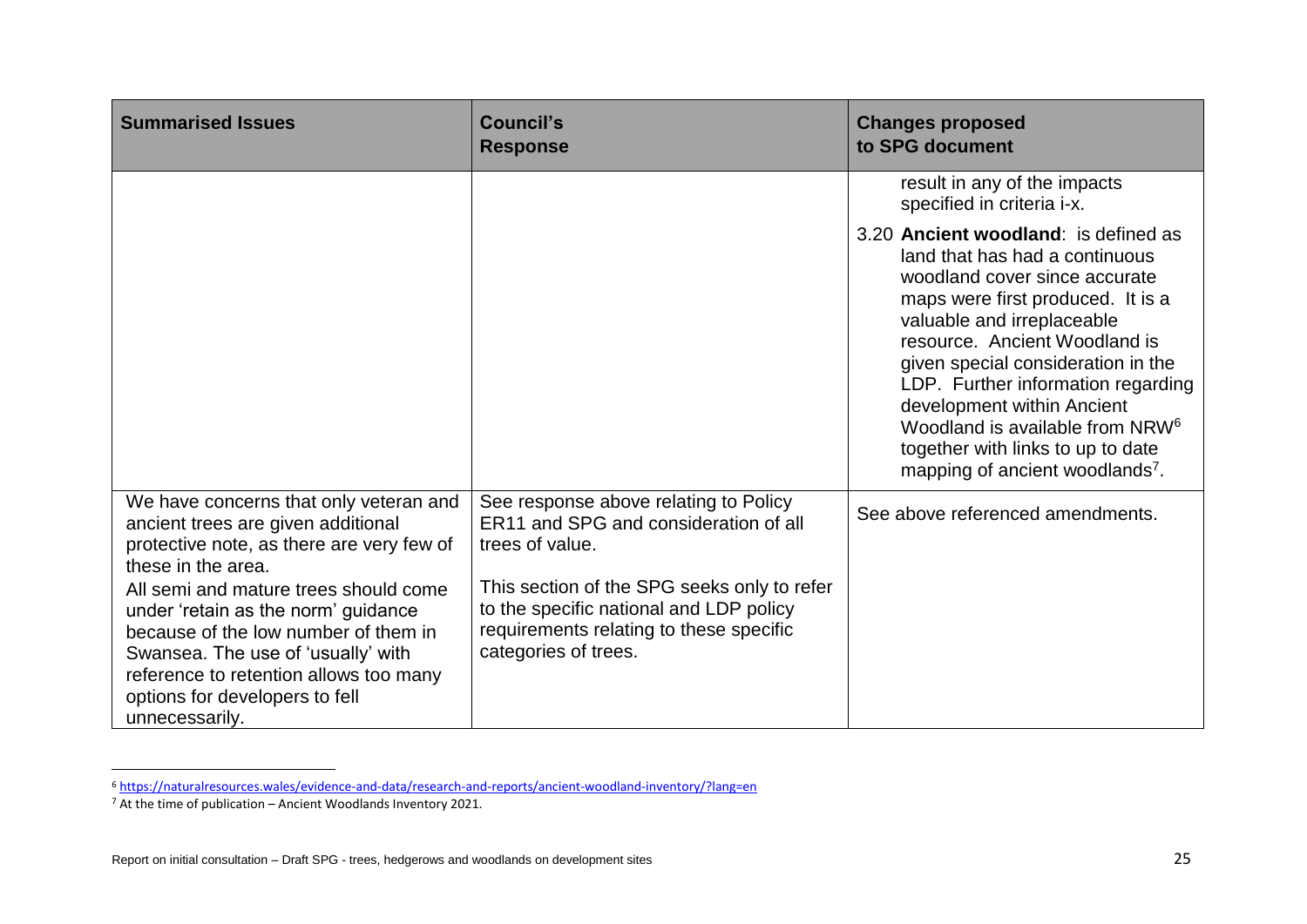| <b>Summarised Issues</b>                                                                                                                                                                                                                                 | <b>Council's</b><br><b>Response</b>                                                                                                                       | <b>Changes proposed</b><br>to SPG document                                                                                                                                                                                                                                                                                                                                                                                                               |
|----------------------------------------------------------------------------------------------------------------------------------------------------------------------------------------------------------------------------------------------------------|-----------------------------------------------------------------------------------------------------------------------------------------------------------|----------------------------------------------------------------------------------------------------------------------------------------------------------------------------------------------------------------------------------------------------------------------------------------------------------------------------------------------------------------------------------------------------------------------------------------------------------|
|                                                                                                                                                                                                                                                          |                                                                                                                                                           | result in any of the impacts<br>specified in criteria i-x.                                                                                                                                                                                                                                                                                                                                                                                               |
|                                                                                                                                                                                                                                                          |                                                                                                                                                           | 3.20 Ancient woodland: is defined as<br>land that has had a continuous<br>woodland cover since accurate<br>maps were first produced. It is a<br>valuable and irreplaceable<br>resource. Ancient Woodland is<br>given special consideration in the<br>LDP. Further information regarding<br>development within Ancient<br>Woodland is available from NRW <sup>6</sup><br>together with links to up to date<br>mapping of ancient woodlands <sup>7</sup> . |
| We have concerns that only veteran and<br>ancient trees are given additional<br>protective note, as there are very few of<br>these in the area.                                                                                                          | See response above relating to Policy<br>ER11 and SPG and consideration of all<br>trees of value.                                                         | See above referenced amendments.                                                                                                                                                                                                                                                                                                                                                                                                                         |
| All semi and mature trees should come<br>under 'retain as the norm' guidance<br>because of the low number of them in<br>Swansea. The use of 'usually' with<br>reference to retention allows too many<br>options for developers to fell<br>unnecessarily. | This section of the SPG seeks only to refer<br>to the specific national and LDP policy<br>requirements relating to these specific<br>categories of trees. |                                                                                                                                                                                                                                                                                                                                                                                                                                                          |

<sup>6</sup> <https://naturalresources.wales/evidence-and-data/research-and-reports/ancient-woodland-inventory/?lang=en>

 $7$  At the time of publication – Ancient Woodlands Inventory 2021.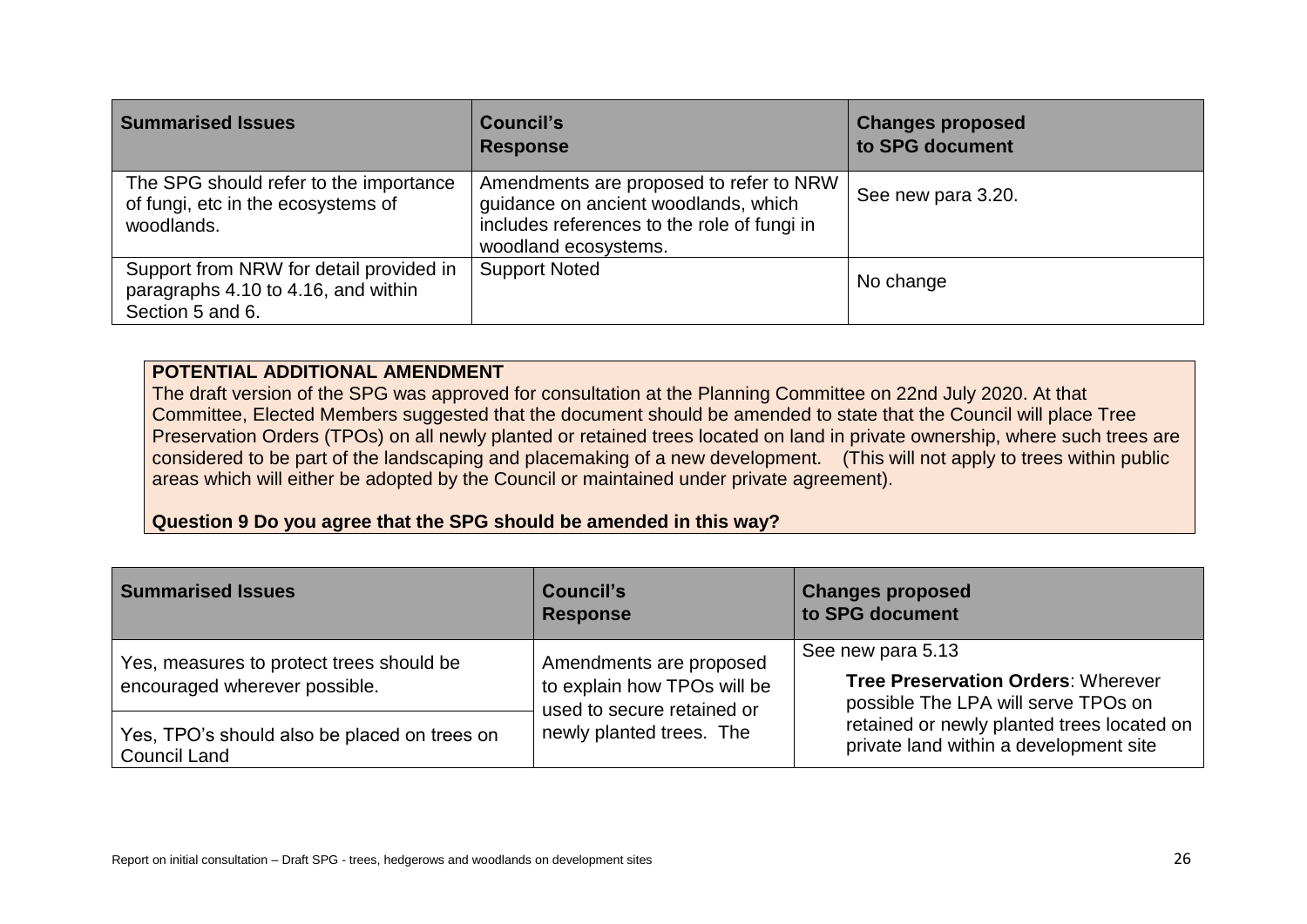| <b>Summarised Issues</b>                                                                           | Council's<br><b>Response</b>                                                                                                                           | <b>Changes proposed</b><br>to SPG document |
|----------------------------------------------------------------------------------------------------|--------------------------------------------------------------------------------------------------------------------------------------------------------|--------------------------------------------|
| The SPG should refer to the importance<br>of fungi, etc in the ecosystems of<br>woodlands.         | Amendments are proposed to refer to NRW<br>guidance on ancient woodlands, which<br>includes references to the role of fungi in<br>woodland ecosystems. | See new para 3.20.                         |
| Support from NRW for detail provided in<br>paragraphs 4.10 to 4.16, and within<br>Section 5 and 6. | <b>Support Noted</b>                                                                                                                                   | No change                                  |

#### **POTENTIAL ADDITIONAL AMENDMENT**

The draft version of the SPG was approved for consultation at the Planning Committee on 22nd July 2020. At that Committee, Elected Members suggested that the document should be amended to state that the Council will place Tree Preservation Orders (TPOs) on all newly planted or retained trees located on land in private ownership, where such trees are considered to be part of the landscaping and placemaking of a new development. (This will not apply to trees within public areas which will either be adopted by the Council or maintained under private agreement).

**Question 9 Do you agree that the SPG should be amended in this way?**

| <b>Summarised Issues</b>                                                  | Council's<br><b>Response</b>                                                                                     | <b>Changes proposed</b><br>to SPG document                                                            |
|---------------------------------------------------------------------------|------------------------------------------------------------------------------------------------------------------|-------------------------------------------------------------------------------------------------------|
| Yes, measures to protect trees should be<br>encouraged wherever possible. | Amendments are proposed<br>to explain how TPOs will be<br>used to secure retained or<br>newly planted trees. The | See new para 5.13<br><b>Tree Preservation Orders: Wherever</b><br>possible The LPA will serve TPOs on |
| Yes, TPO's should also be placed on trees on<br><b>Council Land</b>       |                                                                                                                  | retained or newly planted trees located on<br>private land within a development site                  |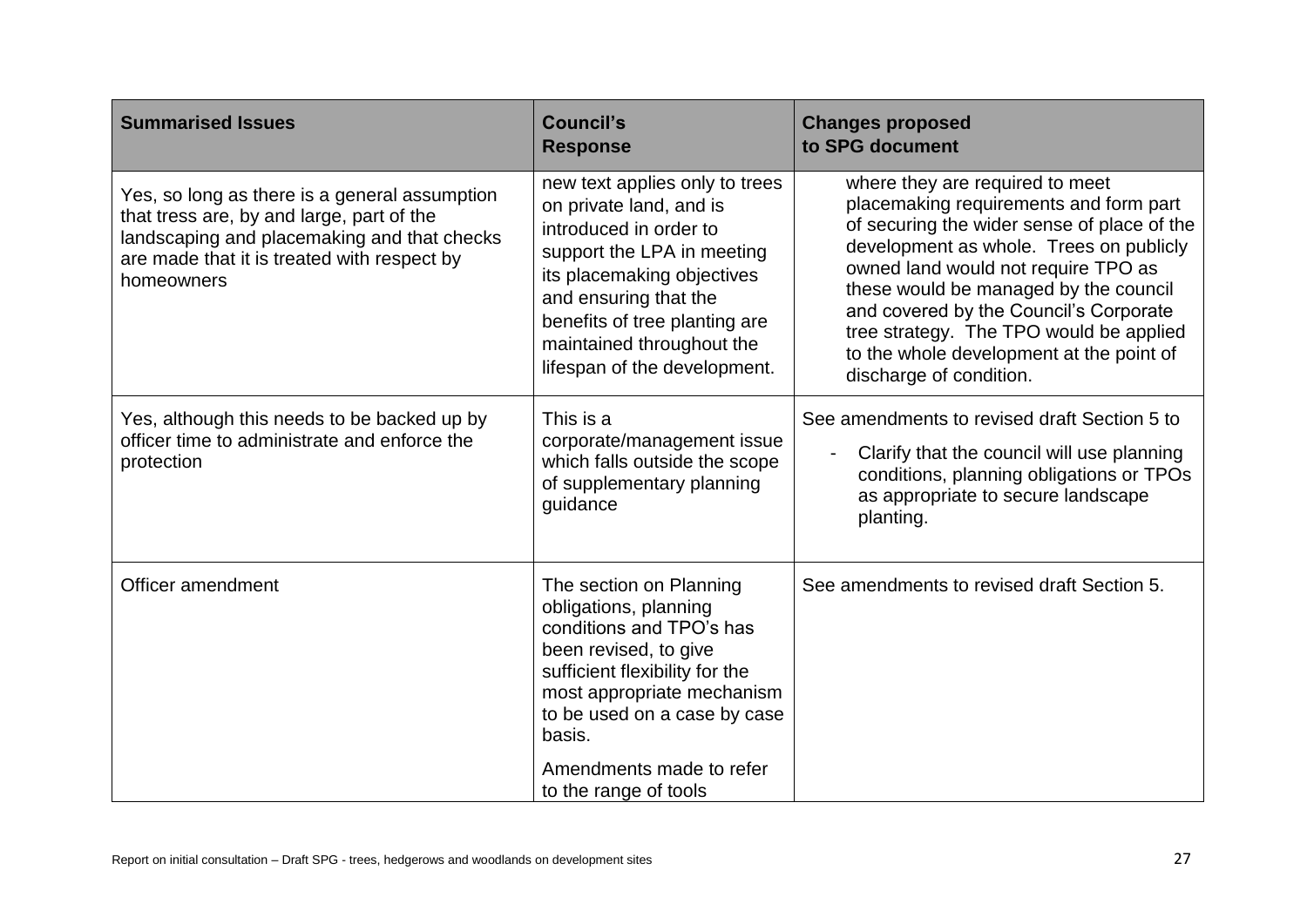| <b>Summarised Issues</b>                                                                                                                                                                               | <b>Council's</b><br><b>Response</b>                                                                                                                                                                                                                                    | <b>Changes proposed</b><br>to SPG document                                                                                                                                                                                                                                                                                                                                                                      |
|--------------------------------------------------------------------------------------------------------------------------------------------------------------------------------------------------------|------------------------------------------------------------------------------------------------------------------------------------------------------------------------------------------------------------------------------------------------------------------------|-----------------------------------------------------------------------------------------------------------------------------------------------------------------------------------------------------------------------------------------------------------------------------------------------------------------------------------------------------------------------------------------------------------------|
| Yes, so long as there is a general assumption<br>that tress are, by and large, part of the<br>landscaping and placemaking and that checks<br>are made that it is treated with respect by<br>homeowners | new text applies only to trees<br>on private land, and is<br>introduced in order to<br>support the LPA in meeting<br>its placemaking objectives<br>and ensuring that the<br>benefits of tree planting are<br>maintained throughout the<br>lifespan of the development. | where they are required to meet<br>placemaking requirements and form part<br>of securing the wider sense of place of the<br>development as whole. Trees on publicly<br>owned land would not require TPO as<br>these would be managed by the council<br>and covered by the Council's Corporate<br>tree strategy. The TPO would be applied<br>to the whole development at the point of<br>discharge of condition. |
| Yes, although this needs to be backed up by<br>officer time to administrate and enforce the<br>protection                                                                                              | This is a<br>corporate/management issue<br>which falls outside the scope<br>of supplementary planning<br>guidance                                                                                                                                                      | See amendments to revised draft Section 5 to<br>Clarify that the council will use planning<br>conditions, planning obligations or TPOs<br>as appropriate to secure landscape<br>planting.                                                                                                                                                                                                                       |
| Officer amendment                                                                                                                                                                                      | The section on Planning<br>obligations, planning<br>conditions and TPO's has<br>been revised, to give<br>sufficient flexibility for the<br>most appropriate mechanism<br>to be used on a case by case<br>basis.<br>Amendments made to refer<br>to the range of tools   | See amendments to revised draft Section 5.                                                                                                                                                                                                                                                                                                                                                                      |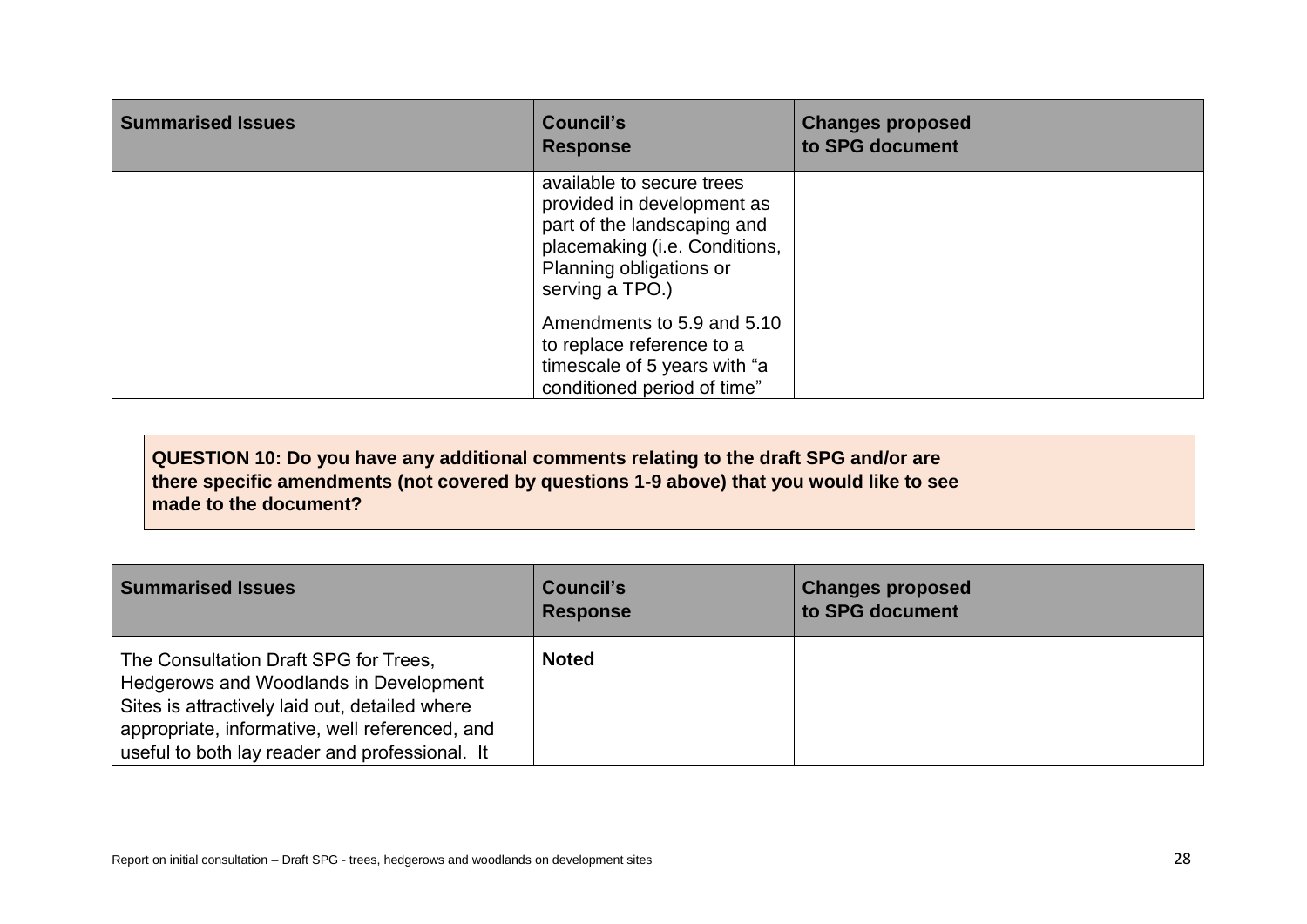| <b>Summarised Issues</b> | <b>Council's</b><br><b>Response</b>                                                                                                                                   | <b>Changes proposed</b><br>to SPG document |
|--------------------------|-----------------------------------------------------------------------------------------------------------------------------------------------------------------------|--------------------------------------------|
|                          | available to secure trees<br>provided in development as<br>part of the landscaping and<br>placemaking (i.e. Conditions,<br>Planning obligations or<br>serving a TPO.) |                                            |
|                          | Amendments to 5.9 and 5.10<br>to replace reference to a<br>timescale of 5 years with "a<br>conditioned period of time"                                                |                                            |

**QUESTION 10: Do you have any additional comments relating to the draft SPG and/or are there specific amendments (not covered by questions 1-9 above) that you would like to see made to the document?**

| <b>Summarised Issues</b>                                                                                                                                                                                                              | <b>Council's</b><br><b>Response</b> | <b>Changes proposed</b><br>to SPG document |
|---------------------------------------------------------------------------------------------------------------------------------------------------------------------------------------------------------------------------------------|-------------------------------------|--------------------------------------------|
| The Consultation Draft SPG for Trees,<br>Hedgerows and Woodlands in Development<br>Sites is attractively laid out, detailed where<br>appropriate, informative, well referenced, and<br>useful to both lay reader and professional. It | <b>Noted</b>                        |                                            |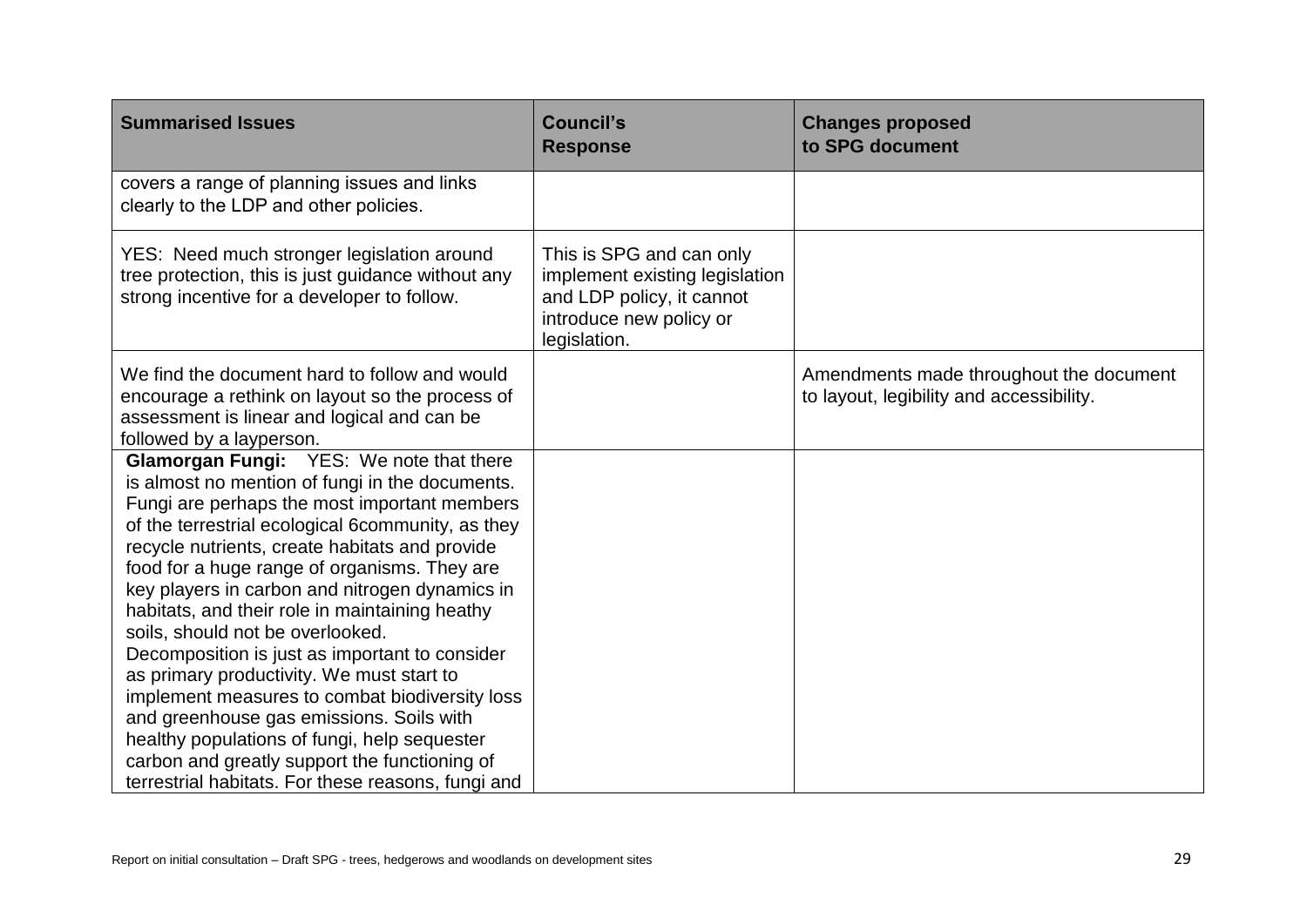| <b>Summarised Issues</b>                                                                                                                                                                                                                                                                                                                                                                                                                                                                                                                                                                                                                                                                                                                                                                              | <b>Council's</b><br><b>Response</b>                                                                                                | <b>Changes proposed</b><br>to SPG document                                          |
|-------------------------------------------------------------------------------------------------------------------------------------------------------------------------------------------------------------------------------------------------------------------------------------------------------------------------------------------------------------------------------------------------------------------------------------------------------------------------------------------------------------------------------------------------------------------------------------------------------------------------------------------------------------------------------------------------------------------------------------------------------------------------------------------------------|------------------------------------------------------------------------------------------------------------------------------------|-------------------------------------------------------------------------------------|
| covers a range of planning issues and links<br>clearly to the LDP and other policies.                                                                                                                                                                                                                                                                                                                                                                                                                                                                                                                                                                                                                                                                                                                 |                                                                                                                                    |                                                                                     |
| YES: Need much stronger legislation around<br>tree protection, this is just guidance without any<br>strong incentive for a developer to follow.                                                                                                                                                                                                                                                                                                                                                                                                                                                                                                                                                                                                                                                       | This is SPG and can only<br>implement existing legislation<br>and LDP policy, it cannot<br>introduce new policy or<br>legislation. |                                                                                     |
| We find the document hard to follow and would<br>encourage a rethink on layout so the process of<br>assessment is linear and logical and can be<br>followed by a layperson.                                                                                                                                                                                                                                                                                                                                                                                                                                                                                                                                                                                                                           |                                                                                                                                    | Amendments made throughout the document<br>to layout, legibility and accessibility. |
| <b>Glamorgan Fungi:</b> YES: We note that there<br>is almost no mention of fungi in the documents.<br>Fungi are perhaps the most important members<br>of the terrestrial ecological 6community, as they<br>recycle nutrients, create habitats and provide<br>food for a huge range of organisms. They are<br>key players in carbon and nitrogen dynamics in<br>habitats, and their role in maintaining heathy<br>soils, should not be overlooked.<br>Decomposition is just as important to consider<br>as primary productivity. We must start to<br>implement measures to combat biodiversity loss<br>and greenhouse gas emissions. Soils with<br>healthy populations of fungi, help sequester<br>carbon and greatly support the functioning of<br>terrestrial habitats. For these reasons, fungi and |                                                                                                                                    |                                                                                     |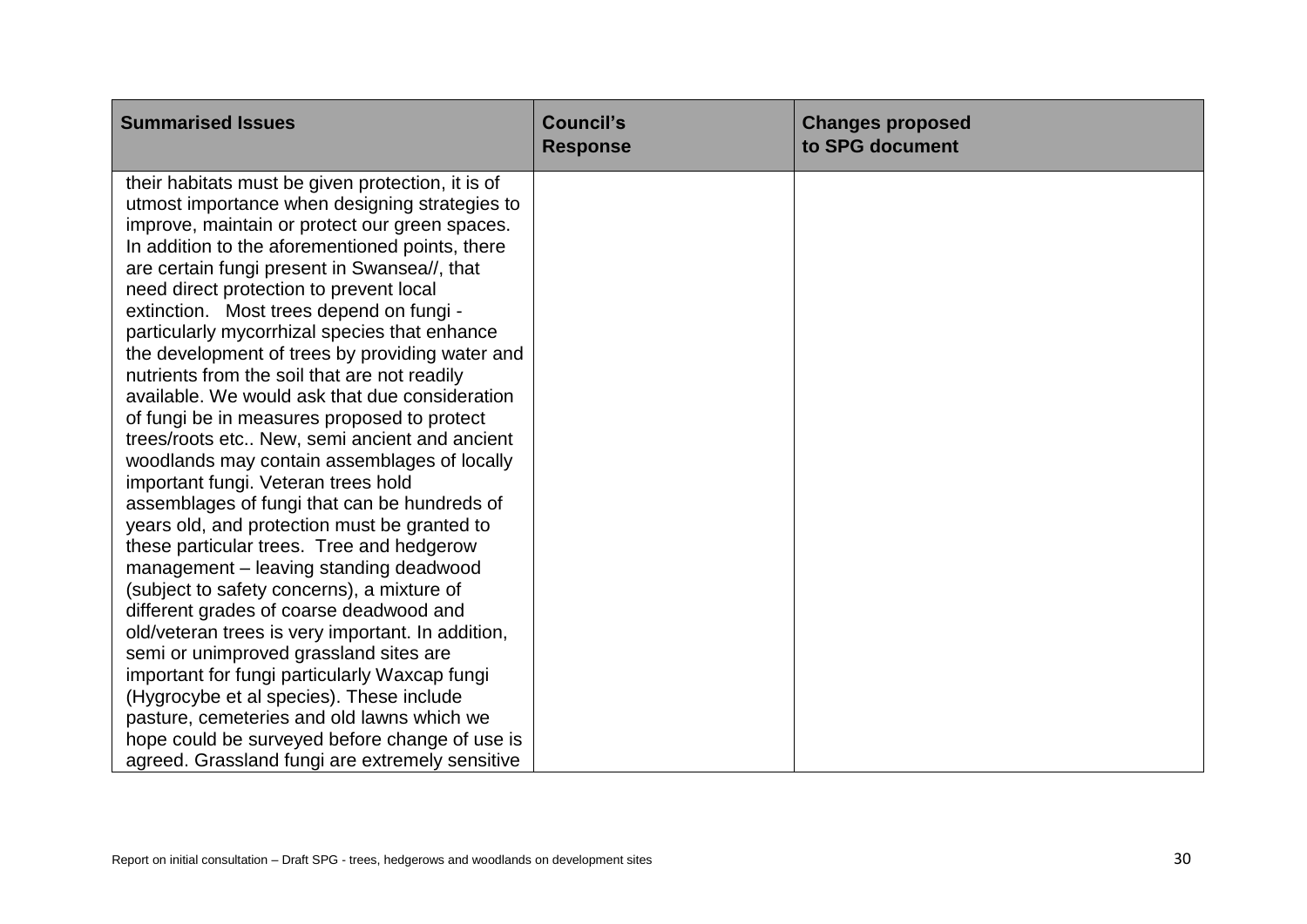| <b>Summarised Issues</b>                                                                         | <b>Council's</b><br><b>Response</b> | <b>Changes proposed</b><br>to SPG document |
|--------------------------------------------------------------------------------------------------|-------------------------------------|--------------------------------------------|
| their habitats must be given protection, it is of                                                |                                     |                                            |
| utmost importance when designing strategies to<br>improve, maintain or protect our green spaces. |                                     |                                            |
| In addition to the aforementioned points, there                                                  |                                     |                                            |
| are certain fungi present in Swansea//, that                                                     |                                     |                                            |
| need direct protection to prevent local                                                          |                                     |                                            |
| extinction. Most trees depend on fungi -                                                         |                                     |                                            |
| particularly mycorrhizal species that enhance                                                    |                                     |                                            |
| the development of trees by providing water and                                                  |                                     |                                            |
| nutrients from the soil that are not readily                                                     |                                     |                                            |
| available. We would ask that due consideration                                                   |                                     |                                            |
| of fungi be in measures proposed to protect                                                      |                                     |                                            |
| trees/roots etc New, semi ancient and ancient                                                    |                                     |                                            |
| woodlands may contain assemblages of locally                                                     |                                     |                                            |
| important fungi. Veteran trees hold                                                              |                                     |                                            |
| assemblages of fungi that can be hundreds of                                                     |                                     |                                            |
| years old, and protection must be granted to                                                     |                                     |                                            |
| these particular trees. Tree and hedgerow                                                        |                                     |                                            |
| management - leaving standing deadwood                                                           |                                     |                                            |
| (subject to safety concerns), a mixture of                                                       |                                     |                                            |
| different grades of coarse deadwood and                                                          |                                     |                                            |
| old/veteran trees is very important. In addition,<br>semi or unimproved grassland sites are      |                                     |                                            |
| important for fungi particularly Waxcap fungi                                                    |                                     |                                            |
| (Hygrocybe et al species). These include                                                         |                                     |                                            |
| pasture, cemeteries and old lawns which we                                                       |                                     |                                            |
| hope could be surveyed before change of use is                                                   |                                     |                                            |
| agreed. Grassland fungi are extremely sensitive                                                  |                                     |                                            |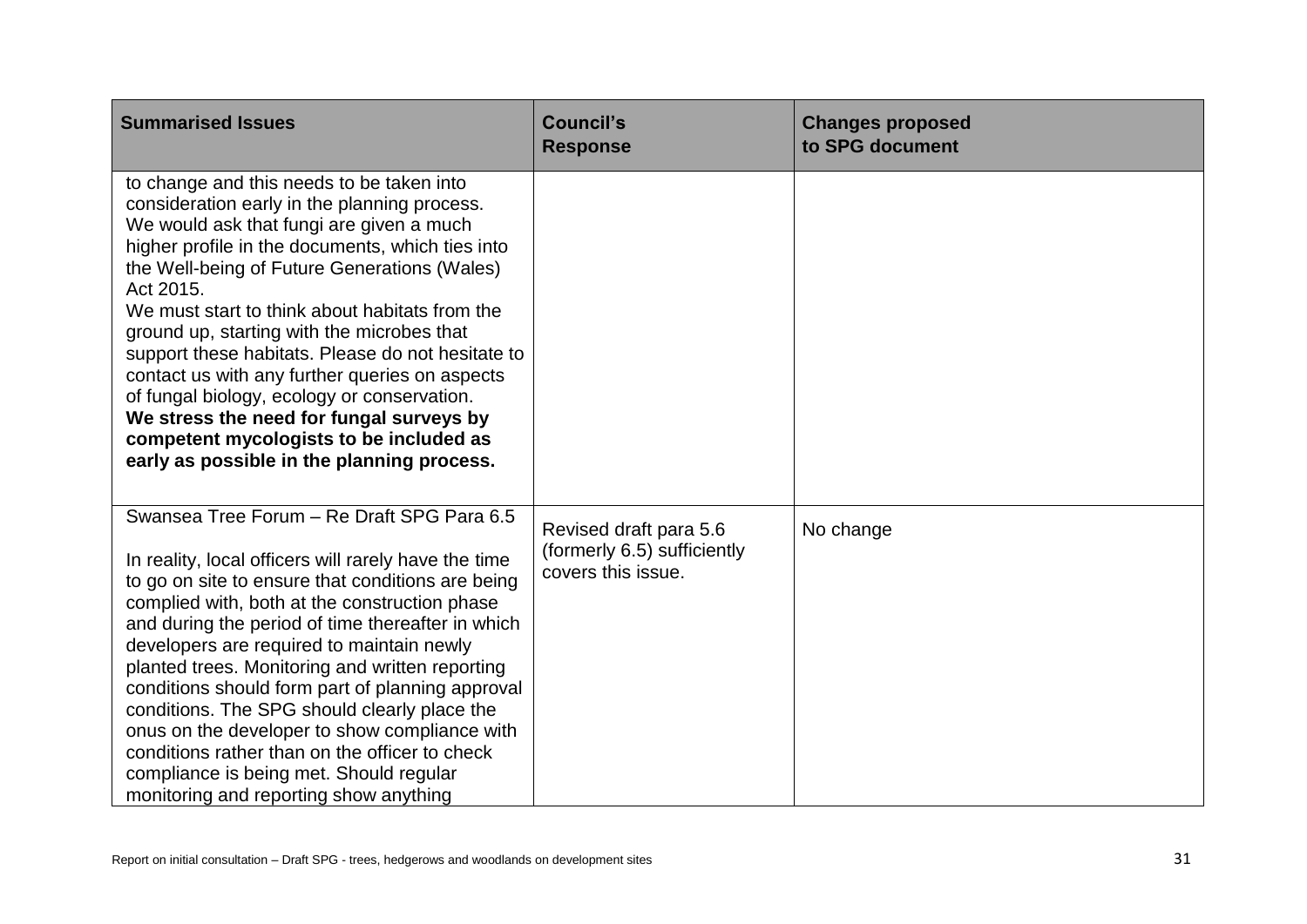| <b>Summarised Issues</b>                                                                                                                                                                                                                                                                                                                                                                                                                                                                                                                                                                                                                                  | <b>Council's</b><br><b>Response</b>                                         | <b>Changes proposed</b><br>to SPG document |
|-----------------------------------------------------------------------------------------------------------------------------------------------------------------------------------------------------------------------------------------------------------------------------------------------------------------------------------------------------------------------------------------------------------------------------------------------------------------------------------------------------------------------------------------------------------------------------------------------------------------------------------------------------------|-----------------------------------------------------------------------------|--------------------------------------------|
| to change and this needs to be taken into<br>consideration early in the planning process.<br>We would ask that fungi are given a much<br>higher profile in the documents, which ties into<br>the Well-being of Future Generations (Wales)<br>Act 2015.<br>We must start to think about habitats from the<br>ground up, starting with the microbes that<br>support these habitats. Please do not hesitate to<br>contact us with any further queries on aspects<br>of fungal biology, ecology or conservation.<br>We stress the need for fungal surveys by<br>competent mycologists to be included as<br>early as possible in the planning process.         |                                                                             |                                            |
| Swansea Tree Forum - Re Draft SPG Para 6.5<br>In reality, local officers will rarely have the time<br>to go on site to ensure that conditions are being<br>complied with, both at the construction phase<br>and during the period of time thereafter in which<br>developers are required to maintain newly<br>planted trees. Monitoring and written reporting<br>conditions should form part of planning approval<br>conditions. The SPG should clearly place the<br>onus on the developer to show compliance with<br>conditions rather than on the officer to check<br>compliance is being met. Should regular<br>monitoring and reporting show anything | Revised draft para 5.6<br>(formerly 6.5) sufficiently<br>covers this issue. | No change                                  |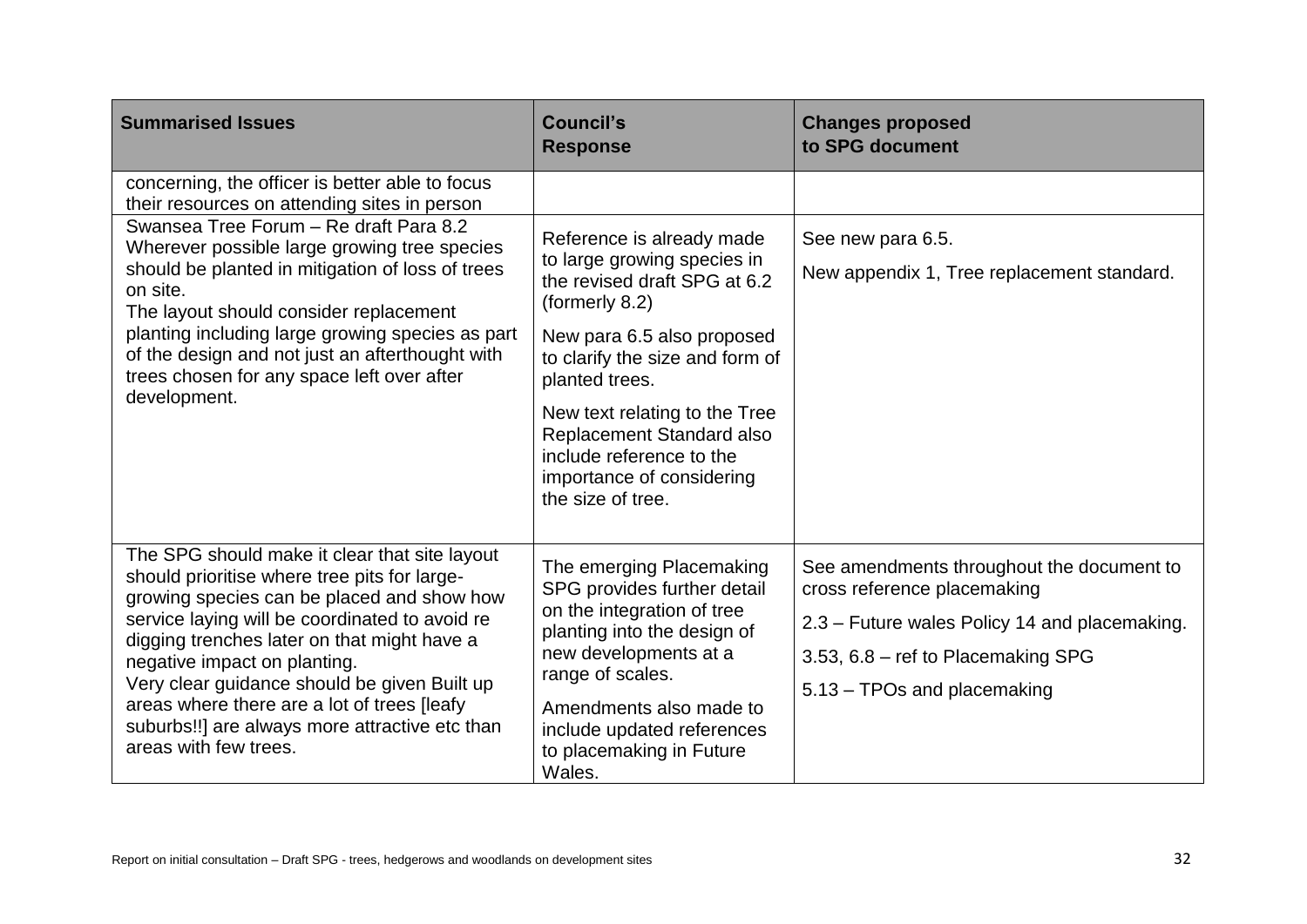| <b>Summarised Issues</b>                                                                                                                                                                                                                                                                                                                                                                                                                                                 | <b>Council's</b><br><b>Response</b>                                                                                                                                                                                                                                                                                                       | <b>Changes proposed</b><br>to SPG document                                                                                                                                                     |
|--------------------------------------------------------------------------------------------------------------------------------------------------------------------------------------------------------------------------------------------------------------------------------------------------------------------------------------------------------------------------------------------------------------------------------------------------------------------------|-------------------------------------------------------------------------------------------------------------------------------------------------------------------------------------------------------------------------------------------------------------------------------------------------------------------------------------------|------------------------------------------------------------------------------------------------------------------------------------------------------------------------------------------------|
| concerning, the officer is better able to focus<br>their resources on attending sites in person<br>Swansea Tree Forum - Re draft Para 8.2<br>Wherever possible large growing tree species<br>should be planted in mitigation of loss of trees<br>on site.<br>The layout should consider replacement<br>planting including large growing species as part<br>of the design and not just an afterthought with<br>trees chosen for any space left over after<br>development. | Reference is already made<br>to large growing species in<br>the revised draft SPG at 6.2<br>(formerly 8.2)<br>New para 6.5 also proposed<br>to clarify the size and form of<br>planted trees.<br>New text relating to the Tree<br>Replacement Standard also<br>include reference to the<br>importance of considering<br>the size of tree. | See new para 6.5.<br>New appendix 1, Tree replacement standard.                                                                                                                                |
| The SPG should make it clear that site layout<br>should prioritise where tree pits for large-<br>growing species can be placed and show how<br>service laying will be coordinated to avoid re<br>digging trenches later on that might have a<br>negative impact on planting.<br>Very clear guidance should be given Built up<br>areas where there are a lot of trees [leafy<br>suburbs!!] are always more attractive etc than<br>areas with few trees.                   | The emerging Placemaking<br>SPG provides further detail<br>on the integration of tree<br>planting into the design of<br>new developments at a<br>range of scales.<br>Amendments also made to<br>include updated references<br>to placemaking in Future<br>Wales.                                                                          | See amendments throughout the document to<br>cross reference placemaking<br>2.3 - Future wales Policy 14 and placemaking.<br>3.53, 6.8 – ref to Placemaking SPG<br>5.13 - TPOs and placemaking |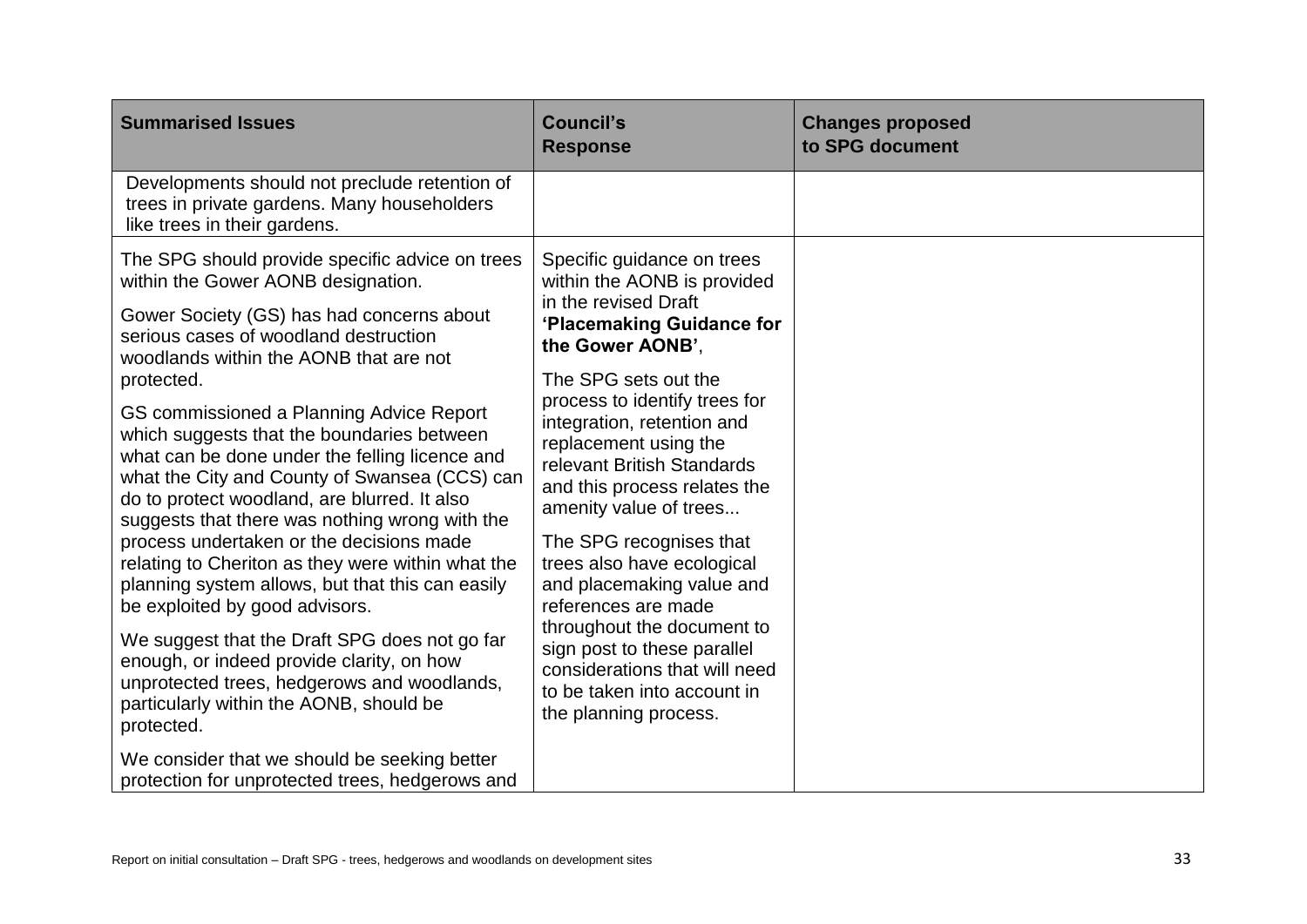| <b>Summarised Issues</b>                                                                                                                                                                                                                                                                                                                                                                                                                                                                                                                                                                                                                                                                                                                                                                                                                                                                                                                                                                                                           | <b>Council's</b><br><b>Response</b>                                                                                                                                                                                                                                                                                                                                                                                                                                                                                                                                                                           | <b>Changes proposed</b><br>to SPG document |
|------------------------------------------------------------------------------------------------------------------------------------------------------------------------------------------------------------------------------------------------------------------------------------------------------------------------------------------------------------------------------------------------------------------------------------------------------------------------------------------------------------------------------------------------------------------------------------------------------------------------------------------------------------------------------------------------------------------------------------------------------------------------------------------------------------------------------------------------------------------------------------------------------------------------------------------------------------------------------------------------------------------------------------|---------------------------------------------------------------------------------------------------------------------------------------------------------------------------------------------------------------------------------------------------------------------------------------------------------------------------------------------------------------------------------------------------------------------------------------------------------------------------------------------------------------------------------------------------------------------------------------------------------------|--------------------------------------------|
| Developments should not preclude retention of<br>trees in private gardens. Many householders<br>like trees in their gardens.                                                                                                                                                                                                                                                                                                                                                                                                                                                                                                                                                                                                                                                                                                                                                                                                                                                                                                       |                                                                                                                                                                                                                                                                                                                                                                                                                                                                                                                                                                                                               |                                            |
| The SPG should provide specific advice on trees<br>within the Gower AONB designation.<br>Gower Society (GS) has had concerns about<br>serious cases of woodland destruction<br>woodlands within the AONB that are not<br>protected.<br>GS commissioned a Planning Advice Report<br>which suggests that the boundaries between<br>what can be done under the felling licence and<br>what the City and County of Swansea (CCS) can<br>do to protect woodland, are blurred. It also<br>suggests that there was nothing wrong with the<br>process undertaken or the decisions made<br>relating to Cheriton as they were within what the<br>planning system allows, but that this can easily<br>be exploited by good advisors.<br>We suggest that the Draft SPG does not go far<br>enough, or indeed provide clarity, on how<br>unprotected trees, hedgerows and woodlands,<br>particularly within the AONB, should be<br>protected.<br>We consider that we should be seeking better<br>protection for unprotected trees, hedgerows and | Specific guidance on trees<br>within the AONB is provided<br>in the revised Draft<br>'Placemaking Guidance for<br>the Gower AONB',<br>The SPG sets out the<br>process to identify trees for<br>integration, retention and<br>replacement using the<br>relevant British Standards<br>and this process relates the<br>amenity value of trees<br>The SPG recognises that<br>trees also have ecological<br>and placemaking value and<br>references are made<br>throughout the document to<br>sign post to these parallel<br>considerations that will need<br>to be taken into account in<br>the planning process. |                                            |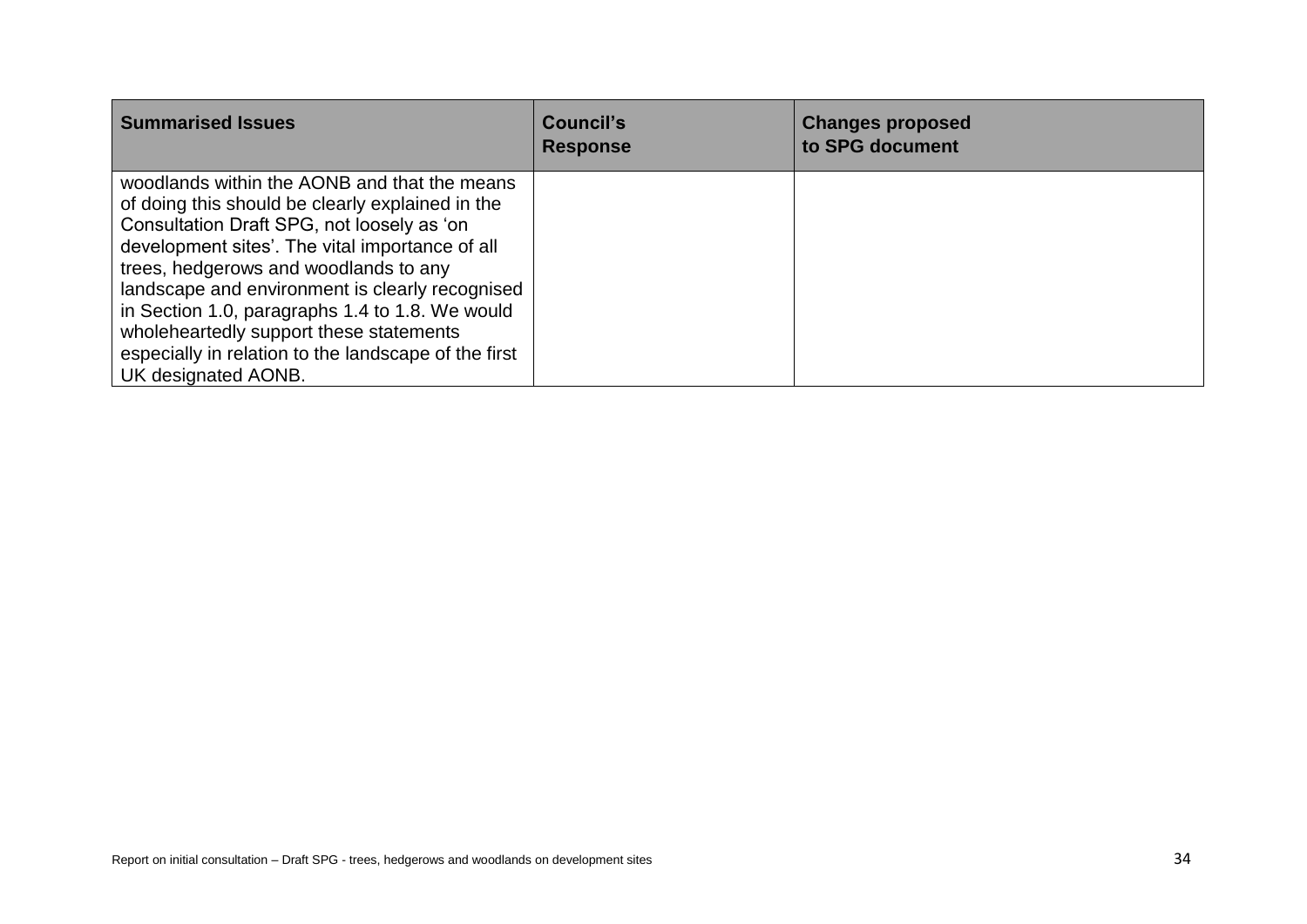| <b>Summarised Issues</b>                                                                                                                                                                                                                                                                                                                                                                                                                                                   | Council's<br><b>Response</b> | <b>Changes proposed</b><br>to SPG document |
|----------------------------------------------------------------------------------------------------------------------------------------------------------------------------------------------------------------------------------------------------------------------------------------------------------------------------------------------------------------------------------------------------------------------------------------------------------------------------|------------------------------|--------------------------------------------|
| woodlands within the AONB and that the means<br>of doing this should be clearly explained in the<br>Consultation Draft SPG, not loosely as 'on<br>development sites'. The vital importance of all<br>trees, hedgerows and woodlands to any<br>landscape and environment is clearly recognised<br>in Section 1.0, paragraphs 1.4 to 1.8. We would<br>wholeheartedly support these statements<br>especially in relation to the landscape of the first<br>UK designated AONB. |                              |                                            |